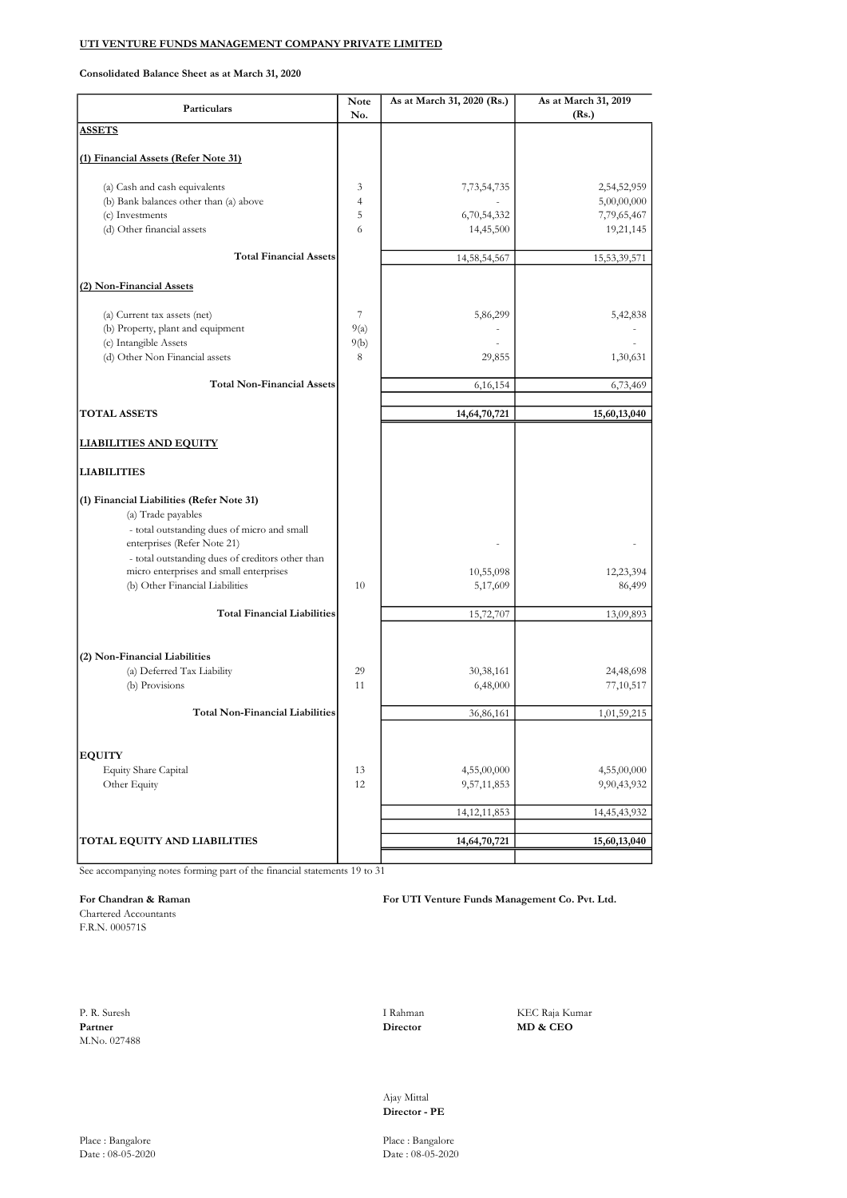Consolidated Balance Sheet as at March 31, 2020

| Particulars                                                                                                    | <b>Note</b><br>No. | As at March 31, 2020 (Rs.) | As at March 31, 2019<br>(Rs.) |
|----------------------------------------------------------------------------------------------------------------|--------------------|----------------------------|-------------------------------|
| <b>ASSETS</b>                                                                                                  |                    |                            |                               |
| (1) Financial Assets (Refer Note 31)                                                                           |                    |                            |                               |
| (a) Cash and cash equivalents                                                                                  | 3                  | 7,73,54,735                | 2,54,52,959                   |
| (b) Bank balances other than (a) above                                                                         | $\overline{4}$     |                            | 5,00,00,000                   |
| (c) Investments                                                                                                | 5                  | 6,70,54,332                | 7,79,65,467                   |
| (d) Other financial assets                                                                                     | 6                  | 14,45,500                  | 19,21,145                     |
| <b>Total Financial Assets</b>                                                                                  |                    | 14,58,54,567               | 15,53,39,571                  |
| (2) Non-Financial Assets                                                                                       |                    |                            |                               |
| (a) Current tax assets (net)                                                                                   | 7                  | 5,86,299                   | 5,42,838                      |
| (b) Property, plant and equipment                                                                              | 9(a)               |                            |                               |
| (c) Intangible Assets                                                                                          | 9(b)               |                            |                               |
| (d) Other Non Financial assets                                                                                 | 8                  | 29,855                     | 1,30,631                      |
| <b>Total Non-Financial Assets</b>                                                                              |                    | 6,16,154                   | 6,73,469                      |
|                                                                                                                |                    |                            |                               |
| <b>TOTAL ASSETS</b>                                                                                            |                    | 14,64,70,721               | 15,60,13,040                  |
| <u>LIABILITIES AND EQUITY</u>                                                                                  |                    |                            |                               |
| <b>LIABILITIES</b>                                                                                             |                    |                            |                               |
| (1) Financial Liabilities (Refer Note 31)<br>(a) Trade payables<br>- total outstanding dues of micro and small |                    |                            |                               |
| enterprises (Refer Note 21)<br>- total outstanding dues of creditors other than                                |                    |                            |                               |
| micro enterprises and small enterprises                                                                        |                    | 10,55,098                  | 12,23,394                     |
| (b) Other Financial Liabilities                                                                                | 10                 | 5,17,609                   | 86,499                        |
|                                                                                                                |                    |                            |                               |
| <b>Total Financial Liabilities</b>                                                                             |                    | 15,72,707                  | 13,09,893                     |
|                                                                                                                |                    |                            |                               |
| (2) Non-Financial Liabilities                                                                                  |                    |                            |                               |
| (a) Deferred Tax Liability                                                                                     | 29                 | 30,38,161                  | 24,48,698                     |
| (b) Provisions                                                                                                 | 11                 | 6,48,000                   | 77,10,517                     |
| <b>Total Non-Financial Liabilities</b>                                                                         |                    | 36,86,161                  | 1,01,59,215                   |
|                                                                                                                |                    |                            |                               |
| <b>EQUITY</b>                                                                                                  |                    |                            |                               |
| Equity Share Capital                                                                                           | 13                 | 4,55,00,000                | 4,55,00,000                   |
| Other Equity                                                                                                   | 12                 | 9,57,11,853                | 9,90,43,932                   |
|                                                                                                                |                    | 14, 12, 11, 853            | 14,45,43,932                  |
|                                                                                                                |                    |                            |                               |
| TOTAL EQUITY AND LIABILITIES                                                                                   |                    | 14,64,70,721               | 15,60,13,040                  |

See accompanying notes forming part of the financial statements 19 to 31

#### For Chandran & Raman For UTI Venture Funds Management Co. Pvt. Ltd.

Chartered Accountants F.R.N. 000571S

P. R. Suresh I Rahman KEC Raja Kumar **Partner** MD & CEO M.No. 027488

MD & CEO

Ajay Mittal Director - PE

 $Date: 08-05-2020$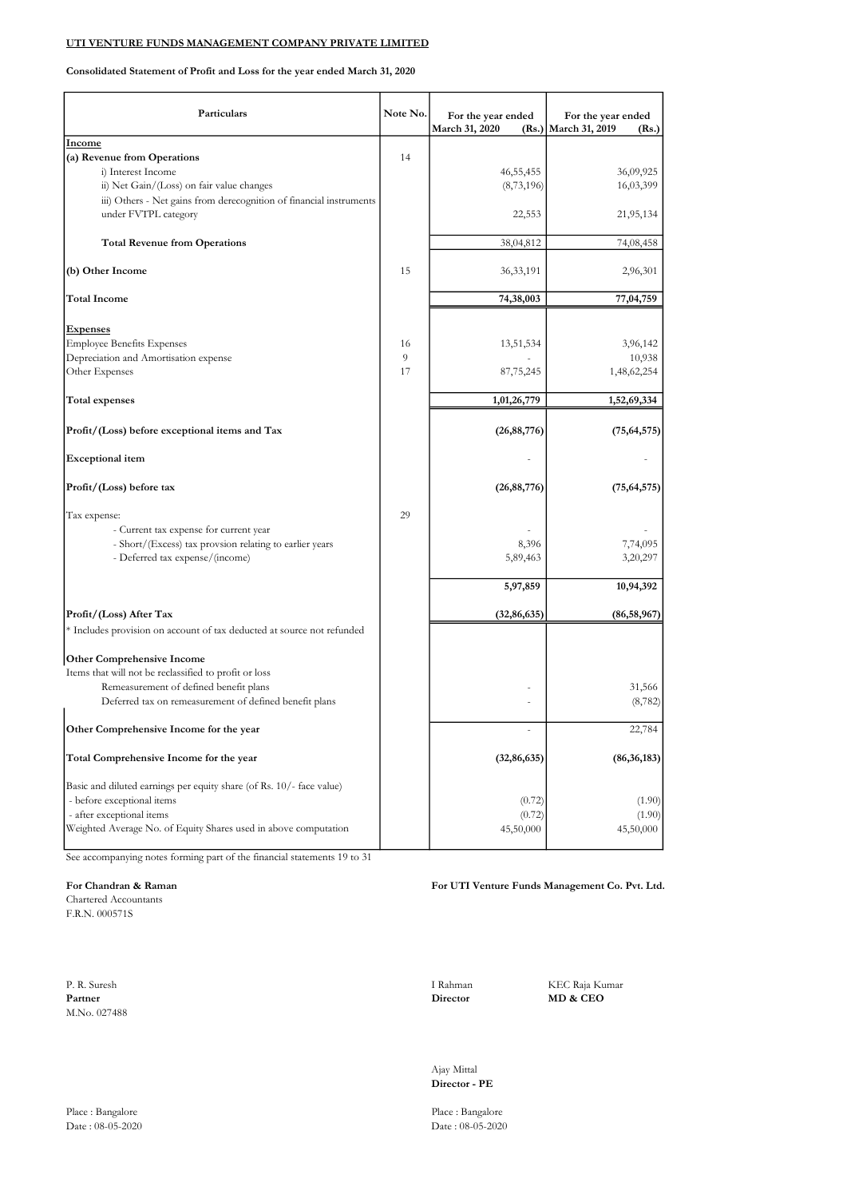#### Consolidated Statement of Profit and Loss for the year ended March 31, 2020

| Particulars                                                            | Note No. | For the year ended<br>March 31, 2020 | For the year ended<br>(Rs.) March 31, 2019<br>(Rs.) |
|------------------------------------------------------------------------|----------|--------------------------------------|-----------------------------------------------------|
| <b>Income</b>                                                          |          |                                      |                                                     |
| (a) Revenue from Operations                                            | 14       |                                      |                                                     |
| i) Interest Income                                                     |          | 46, 55, 455                          | 36,09,925                                           |
| ii) Net Gain/(Loss) on fair value changes                              |          | (8,73,196)                           | 16,03,399                                           |
| iii) Others - Net gains from derecognition of financial instruments    |          |                                      |                                                     |
| under FVTPL category                                                   |          | 22,553                               | 21,95,134                                           |
| <b>Total Revenue from Operations</b>                                   |          | 38,04,812                            | 74,08,458                                           |
| (b) Other Income                                                       | 15       | 36, 33, 191                          | 2,96,301                                            |
| <b>Total Income</b>                                                    |          | 74,38,003                            | 77,04,759                                           |
| <b>Expenses</b>                                                        |          |                                      |                                                     |
| <b>Employee Benefits Expenses</b>                                      | 16       | 13,51,534                            | 3,96,142                                            |
| Depreciation and Amortisation expense                                  | 9        |                                      | 10,938                                              |
| Other Expenses                                                         | 17       | 87,75,245                            | 1,48,62,254                                         |
| <b>Total expenses</b>                                                  |          | 1,01,26,779                          | 1,52,69,334                                         |
| Profit/(Loss) before exceptional items and Tax                         |          | (26, 88, 776)                        | (75, 64, 575)                                       |
| <b>Exceptional item</b>                                                |          |                                      |                                                     |
| Profit/(Loss) before tax                                               |          | (26, 88, 776)                        | (75, 64, 575)                                       |
| Tax expense:                                                           | 29       |                                      |                                                     |
| - Current tax expense for current year                                 |          |                                      |                                                     |
| - Short/(Excess) tax provsion relating to earlier years                |          | 8,396                                | 7,74,095                                            |
| - Deferred tax expense/(income)                                        |          | 5,89,463                             | 3,20,297                                            |
|                                                                        |          | 5,97,859                             | 10,94,392                                           |
| Profit/(Loss) After Tax                                                |          | (32, 86, 635)                        | (86, 58, 967)                                       |
| * Includes provision on account of tax deducted at source not refunded |          |                                      |                                                     |
| <b>Other Comprehensive Income</b>                                      |          |                                      |                                                     |
| Items that will not be reclassified to profit or loss                  |          |                                      |                                                     |
| Remeasurement of defined benefit plans                                 |          |                                      | 31,566                                              |
| Deferred tax on remeasurement of defined benefit plans                 |          |                                      | (8, 782)                                            |
| Other Comprehensive Income for the year                                |          |                                      | 22,784                                              |
| Total Comprehensive Income for the year                                |          | (32, 86, 635)                        | (86, 36, 183)                                       |
| Basic and diluted earnings per equity share (of Rs. 10/- face value)   |          |                                      |                                                     |
| - before exceptional items                                             |          | (0.72)                               | (1.90)                                              |
| - after exceptional items                                              |          | (0.72)                               | (1.90)                                              |
| Weighted Average No. of Equity Shares used in above computation        |          | 45,50,000                            | 45,50,000                                           |

See accompanying notes forming part of the financial statements 19 to 31

#### For Chandran & Raman For UTI Venture Funds Management Co. Pvt. Ltd.

Chartered Accountants F.R.N. 000571S

P. R. Suresh I Rahman KEC Raja Kumar **Partner** MD & CEO M.No. 027488

MD & CEO

Ajay Mittal Director - PE

Date : 08-05-2020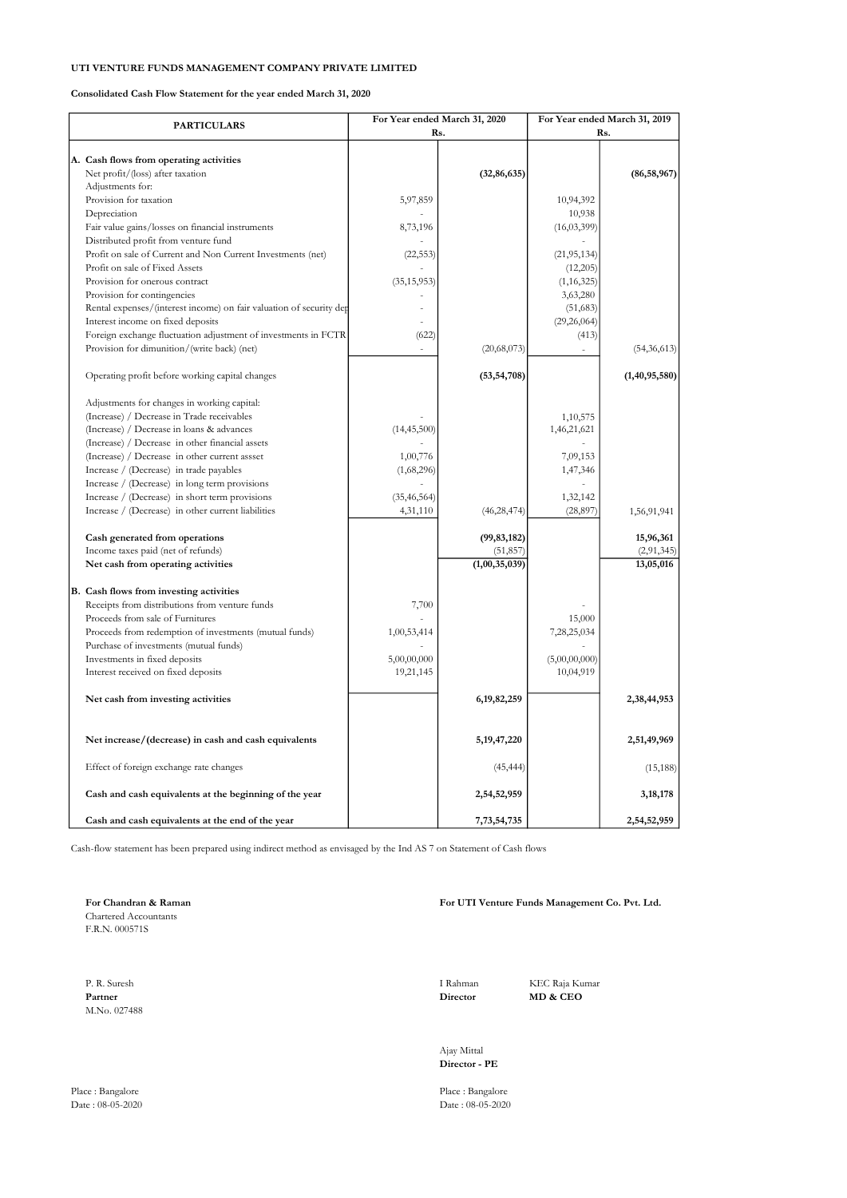Consolidated Cash Flow Statement for the year ended March 31, 2020

|                                                                     |               | For Year ended March 31, 2020 |               | For Year ended March 31, 2019 |
|---------------------------------------------------------------------|---------------|-------------------------------|---------------|-------------------------------|
| <b>PARTICULARS</b>                                                  | Rs.           |                               | Rs.           |                               |
|                                                                     |               |                               |               |                               |
| A. Cash flows from operating activities                             |               |                               |               |                               |
| Net profit/(loss) after taxation                                    |               | (32, 86, 635)                 |               | (86, 58, 967)                 |
| Adjustments for:                                                    |               |                               |               |                               |
| Provision for taxation                                              | 5,97,859      |                               | 10,94,392     |                               |
| Depreciation                                                        |               |                               | 10,938        |                               |
| Fair value gains/losses on financial instruments                    | 8,73,196      |                               | (16, 03, 399) |                               |
| Distributed profit from venture fund                                |               |                               |               |                               |
| Profit on sale of Current and Non Current Investments (net)         | (22, 553)     |                               | (21, 95, 134) |                               |
| Profit on sale of Fixed Assets                                      |               |                               | (12,205)      |                               |
| Provision for onerous contract                                      | (35, 15, 953) |                               | (1, 16, 325)  |                               |
| Provision for contingencies                                         |               |                               | 3,63,280      |                               |
| Rental expenses/(interest income) on fair valuation of security dep |               |                               | (51, 683)     |                               |
| Interest income on fixed deposits                                   |               |                               | (29, 26, 064) |                               |
| Foreign exchange fluctuation adjustment of investments in FCTR      | (622)         |                               | (413)         |                               |
| Provision for dimunition/(write back) (net)                         |               | (20,68,073)                   |               | (54, 36, 613)                 |
|                                                                     |               |                               |               |                               |
| Operating profit before working capital changes                     |               | (53, 54, 708)                 |               | (1, 40, 95, 580)              |
| Adjustments for changes in working capital:                         |               |                               |               |                               |
| (Increase) / Decrease in Trade receivables                          |               |                               | 1,10,575      |                               |
| (Increase) / Decrease in loans & advances                           | (14, 45, 500) |                               | 1,46,21,621   |                               |
| (Increase) / Decrease in other financial assets                     |               |                               |               |                               |
| (Increase) / Decrease in other current assset                       | 1,00,776      |                               | 7,09,153      |                               |
| Increase / (Decrease) in trade payables                             | (1,68,296)    |                               | 1,47,346      |                               |
| Increase / (Decrease) in long term provisions                       |               |                               |               |                               |
| Increase / (Decrease) in short term provisions                      | (35, 46, 564) |                               | 1,32,142      |                               |
| Increase / (Decrease) in other current liabilities                  | 4,31,110      | (46, 28, 474)                 | (28, 897)     | 1,56,91,941                   |
| Cash generated from operations                                      |               | (99, 83, 182)                 |               | 15,96,361                     |
| Income taxes paid (net of refunds)                                  |               | (51, 857)                     |               | (2,91,345)                    |
| Net cash from operating activities                                  |               | (1,00,35,039)                 |               | 13,05,016                     |
| B. Cash flows from investing activities                             |               |                               |               |                               |
| Receipts from distributions from venture funds                      | 7,700         |                               |               |                               |
| Proceeds from sale of Furnitures                                    |               |                               | 15,000        |                               |
| Proceeds from redemption of investments (mutual funds)              | 1,00,53,414   |                               | 7,28,25,034   |                               |
| Purchase of investments (mutual funds)                              |               |                               |               |                               |
| Investments in fixed deposits                                       | 5,00,00,000   |                               | (5,00,00,000) |                               |
| Interest received on fixed deposits                                 | 19,21,145     |                               | 10,04,919     |                               |
| Net cash from investing activities                                  |               | 6, 19, 82, 259                |               | 2,38,44,953                   |
| Net increase/(decrease) in cash and cash equivalents                |               | 5, 19, 47, 220                |               | 2,51,49,969                   |
| Effect of foreign exchange rate changes                             |               | (45, 444)                     |               | (15, 188)                     |
| Cash and cash equivalents at the beginning of the year              |               | 2,54,52,959                   |               | 3,18,178                      |
| Cash and cash equivalents at the end of the year                    |               | 7,73,54,735                   |               | 2,54,52,959                   |

Cash-flow statement has been prepared using indirect method as envisaged by the Ind AS 7 on Statement of Cash flows

Chartered Accountants F.R.N. 000571S

P. R. Suresh I Rahman KEC Raja Kumar Partner MD & CEO Partner MD & CEO M.No. 027488

Place : Bangalore Place : Bangalore

#### For Chandran & Raman For UTI Venture Funds Management Co. Pvt. Ltd.

Ajay Mittal Director - PE

 $Date : 08-05-2020$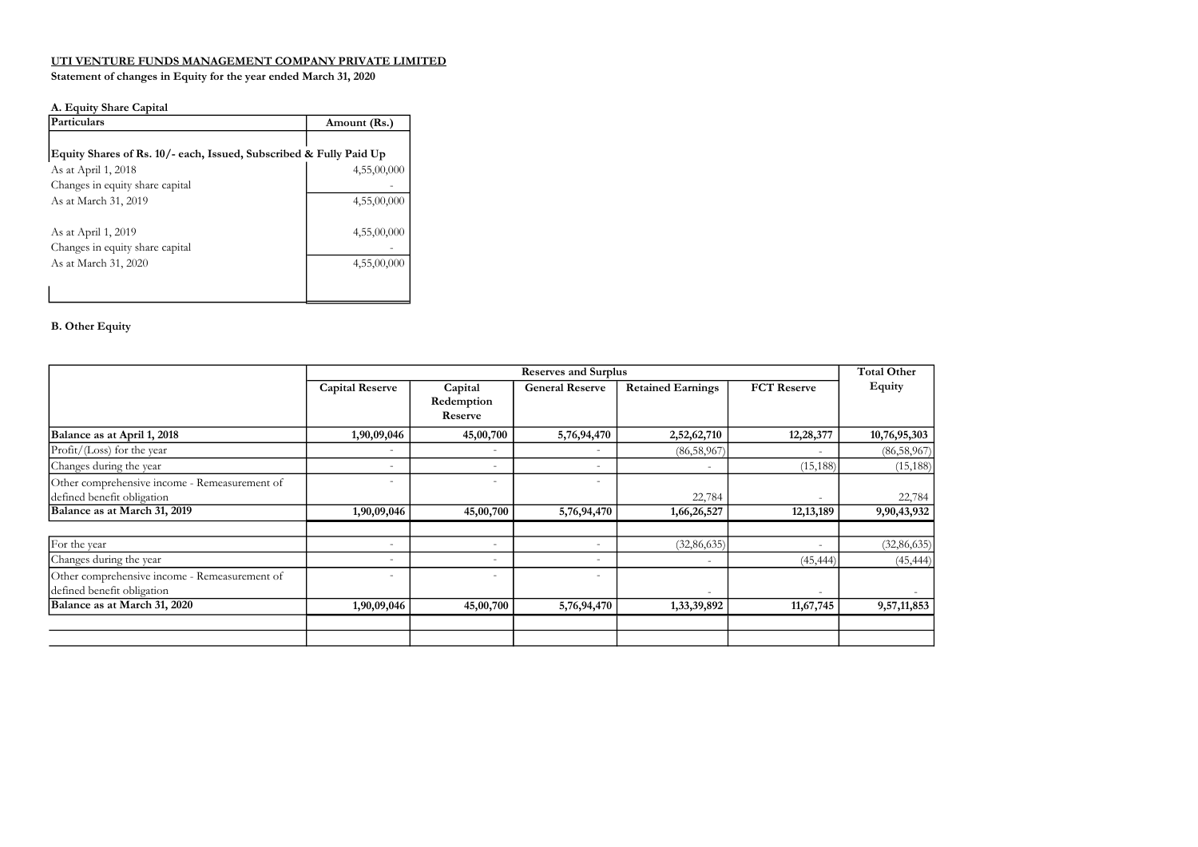#### Statement of changes in Equity for the year ended March 31, 2020

### A. Equity Share Capital

| A. Equity Share Capital                                            |              |
|--------------------------------------------------------------------|--------------|
| <b>Particulars</b>                                                 | Amount (Rs.) |
|                                                                    |              |
| Equity Shares of Rs. 10/- each, Issued, Subscribed & Fully Paid Up |              |
| As at April 1, 2018                                                | 4,55,00,000  |
| Changes in equity share capital                                    |              |
| As at March 31, 2019                                               | 4,55,00,000  |
| As at April 1, 2019                                                | 4,55,00,000  |
| Changes in equity share capital                                    |              |
| As at March 31, 2020                                               | 4,55,00,000  |
|                                                                    |              |
|                                                                    |              |

#### B. Other Equity

|                                                                             |                          | <b>Reserves and Surplus</b>      |                          |                          |                          |               |
|-----------------------------------------------------------------------------|--------------------------|----------------------------------|--------------------------|--------------------------|--------------------------|---------------|
|                                                                             | <b>Capital Reserve</b>   | Capital<br>Redemption<br>Reserve | <b>General Reserve</b>   | <b>Retained Earnings</b> | <b>FCT</b> Reserve       | Equity        |
| Balance as at April 1, 2018                                                 | 1,90,09,046              | 45,00,700                        | 5,76,94,470              | 2,52,62,710              | 12,28,377                | 10,76,95,303  |
| Profit/(Loss) for the year                                                  | $\overline{\phantom{a}}$ |                                  | $\overline{\phantom{a}}$ | (86,58,967)              |                          | (86, 58, 967) |
| Changes during the year                                                     | $\overline{\phantom{a}}$ | $\overline{\phantom{a}}$         | $\overline{\phantom{a}}$ | $\overline{\phantom{a}}$ | (15, 188)                | (15, 188)     |
| Other comprehensive income - Remeasurement of<br>defined benefit obligation | $\overline{\phantom{a}}$ | $\overline{\phantom{a}}$         | $\overline{\phantom{a}}$ | 22,784                   | ٠                        | 22,784        |
| Balance as at March 31, 2019                                                | 1,90,09,046              | 45,00,700                        | 5,76,94,470              | 1,66,26,527              | 12, 13, 189              | 9,90,43,932   |
| For the year                                                                | $\overline{\phantom{a}}$ | $\overline{\phantom{a}}$         | $\overline{\phantom{a}}$ | (32, 86, 635)            | ٠                        | (32, 86, 635) |
| Changes during the year                                                     | $\overline{\phantom{a}}$ | $\overline{\phantom{a}}$         | $\overline{\phantom{a}}$ | $\overline{\phantom{a}}$ | (45, 444)                | (45, 444)     |
| Other comprehensive income - Remeasurement of<br>defined benefit obligation | $\overline{\phantom{a}}$ | $\overline{\phantom{a}}$         | $\overline{\phantom{a}}$ | $\overline{\phantom{a}}$ | $\overline{\phantom{0}}$ |               |
| Balance as at March 31, 2020                                                | 1,90,09,046              | 45,00,700                        | 5,76,94,470              | 1,33,39,892              | 11,67,745                | 9,57,11,853   |
|                                                                             |                          |                                  |                          |                          |                          |               |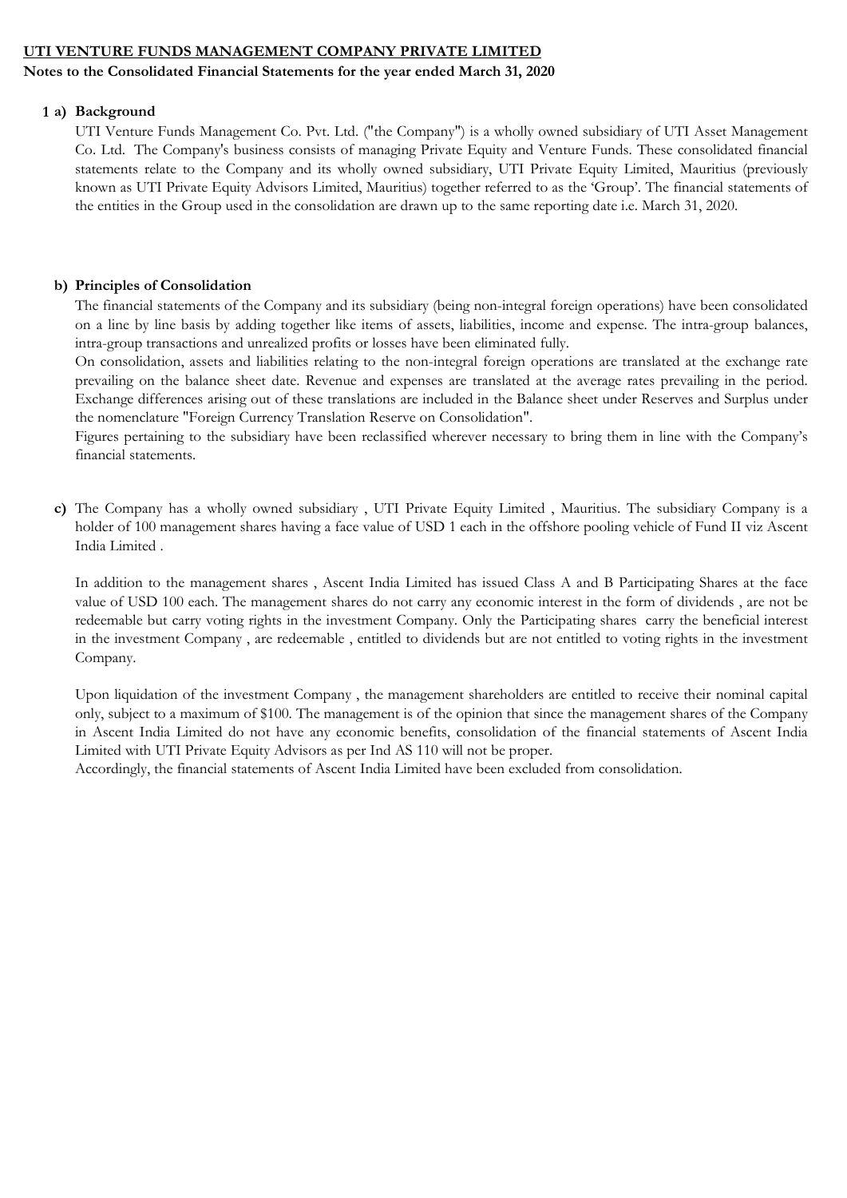### Notes to the Consolidated Financial Statements for the year ended March 31, 2020

#### 1 a) Background

UTI Venture Funds Management Co. Pvt. Ltd. ("the Company") is a wholly owned subsidiary of UTI Asset Management Co. Ltd. The Company's business consists of managing Private Equity and Venture Funds. These consolidated financial statements relate to the Company and its wholly owned subsidiary, UTI Private Equity Limited, Mauritius (previously known as UTI Private Equity Advisors Limited, Mauritius) together referred to as the 'Group'. The financial statements of the entities in the Group used in the consolidation are drawn up to the same reporting date i.e. March 31, 2020.

### b) Principles of Consolidation

The financial statements of the Company and its subsidiary (being non-integral foreign operations) have been consolidated on a line by line basis by adding together like items of assets, liabilities, income and expense. The intra-group balances, intra-group transactions and unrealized profits or losses have been eliminated fully.

On consolidation, assets and liabilities relating to the non-integral foreign operations are translated at the exchange rate prevailing on the balance sheet date. Revenue and expenses are translated at the average rates prevailing in the period. Exchange differences arising out of these translations are included in the Balance sheet under Reserves and Surplus under the nomenclature "Foreign Currency Translation Reserve on Consolidation".

Figures pertaining to the subsidiary have been reclassified wherever necessary to bring them in line with the Company's financial statements.

c) The Company has a wholly owned subsidiary , UTI Private Equity Limited , Mauritius. The subsidiary Company is a holder of 100 management shares having a face value of USD 1 each in the offshore pooling vehicle of Fund II viz Ascent India Limited .

In addition to the management shares , Ascent India Limited has issued Class A and B Participating Shares at the face value of USD 100 each. The management shares do not carry any economic interest in the form of dividends , are not be redeemable but carry voting rights in the investment Company. Only the Participating shares carry the beneficial interest in the investment Company , are redeemable , entitled to dividends but are not entitled to voting rights in the investment Company.

Upon liquidation of the investment Company , the management shareholders are entitled to receive their nominal capital only, subject to a maximum of \$100. The management is of the opinion that since the management shares of the Company in Ascent India Limited do not have any economic benefits, consolidation of the financial statements of Ascent India Limited with UTI Private Equity Advisors as per Ind AS 110 will not be proper.

Accordingly, the financial statements of Ascent India Limited have been excluded from consolidation.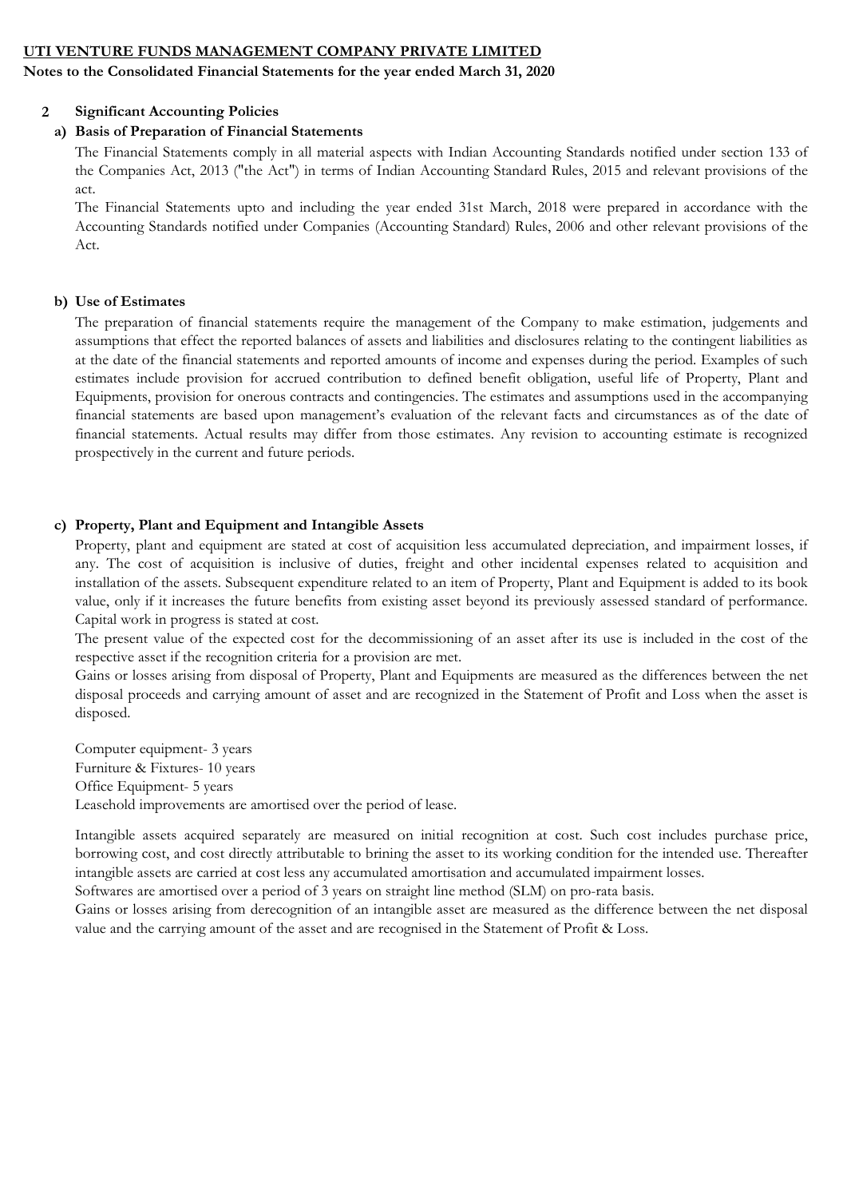### Notes to the Consolidated Financial Statements for the year ended March 31, 2020

#### 2 Significant Accounting Policies

### a) Basis of Preparation of Financial Statements

The Financial Statements comply in all material aspects with Indian Accounting Standards notified under section 133 of the Companies Act, 2013 ("the Act") in terms of Indian Accounting Standard Rules, 2015 and relevant provisions of the act.

The Financial Statements upto and including the year ended 31st March, 2018 were prepared in accordance with the Accounting Standards notified under Companies (Accounting Standard) Rules, 2006 and other relevant provisions of the Act.

#### b) Use of Estimates

The preparation of financial statements require the management of the Company to make estimation, judgements and assumptions that effect the reported balances of assets and liabilities and disclosures relating to the contingent liabilities as at the date of the financial statements and reported amounts of income and expenses during the period. Examples of such estimates include provision for accrued contribution to defined benefit obligation, useful life of Property, Plant and Equipments, provision for onerous contracts and contingencies. The estimates and assumptions used in the accompanying financial statements are based upon management's evaluation of the relevant facts and circumstances as of the date of financial statements. Actual results may differ from those estimates. Any revision to accounting estimate is recognized prospectively in the current and future periods.

### c) Property, Plant and Equipment and Intangible Assets

Property, plant and equipment are stated at cost of acquisition less accumulated depreciation, and impairment losses, if any. The cost of acquisition is inclusive of duties, freight and other incidental expenses related to acquisition and installation of the assets. Subsequent expenditure related to an item of Property, Plant and Equipment is added to its book value, only if it increases the future benefits from existing asset beyond its previously assessed standard of performance. Capital work in progress is stated at cost.

The present value of the expected cost for the decommissioning of an asset after its use is included in the cost of the respective asset if the recognition criteria for a provision are met.

Gains or losses arising from disposal of Property, Plant and Equipments are measured as the differences between the net disposal proceeds and carrying amount of asset and are recognized in the Statement of Profit and Loss when the asset is disposed.

Computer equipment- 3 years Furniture & Fixtures- 10 years Office Equipment- 5 years Leasehold improvements are amortised over the period of lease.

Intangible assets acquired separately are measured on initial recognition at cost. Such cost includes purchase price, borrowing cost, and cost directly attributable to brining the asset to its working condition for the intended use. Thereafter intangible assets are carried at cost less any accumulated amortisation and accumulated impairment losses.

Softwares are amortised over a period of 3 years on straight line method (SLM) on pro-rata basis.

Gains or losses arising from derecognition of an intangible asset are measured as the difference between the net disposal value and the carrying amount of the asset and are recognised in the Statement of Profit & Loss.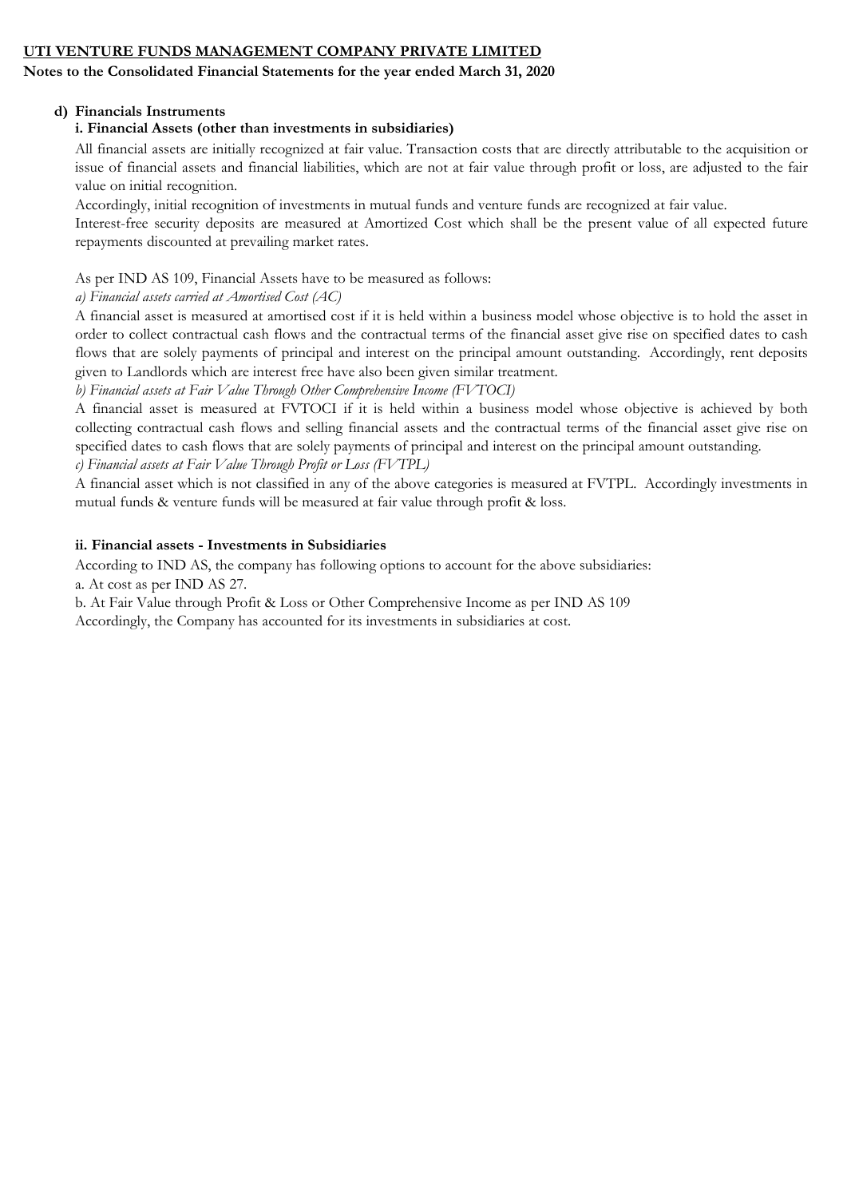# Notes to the Consolidated Financial Statements for the year ended March 31, 2020

# d) Financials Instruments

# i. Financial Assets (other than investments in subsidiaries)

All financial assets are initially recognized at fair value. Transaction costs that are directly attributable to the acquisition or issue of financial assets and financial liabilities, which are not at fair value through profit or loss, are adjusted to the fair value on initial recognition.

Accordingly, initial recognition of investments in mutual funds and venture funds are recognized at fair value.

Interest-free security deposits are measured at Amortized Cost which shall be the present value of all expected future repayments discounted at prevailing market rates.

# As per IND AS 109, Financial Assets have to be measured as follows:

a) Financial assets carried at Amortised Cost (AC)

A financial asset is measured at amortised cost if it is held within a business model whose objective is to hold the asset in order to collect contractual cash flows and the contractual terms of the financial asset give rise on specified dates to cash flows that are solely payments of principal and interest on the principal amount outstanding. Accordingly, rent deposits given to Landlords which are interest free have also been given similar treatment.

b) Financial assets at Fair Value Through Other Comprehensive Income (FVTOCI)

A financial asset is measured at FVTOCI if it is held within a business model whose objective is achieved by both collecting contractual cash flows and selling financial assets and the contractual terms of the financial asset give rise on specified dates to cash flows that are solely payments of principal and interest on the principal amount outstanding.

c) Financial assets at Fair Value Through Profit or Loss (FVTPL)

A financial asset which is not classified in any of the above categories is measured at FVTPL. Accordingly investments in mutual funds & venture funds will be measured at fair value through profit & loss.

## ii. Financial assets - Investments in Subsidiaries

According to IND AS, the company has following options to account for the above subsidiaries: a. At cost as per IND AS 27.

b. At Fair Value through Profit & Loss or Other Comprehensive Income as per IND AS 109

Accordingly, the Company has accounted for its investments in subsidiaries at cost.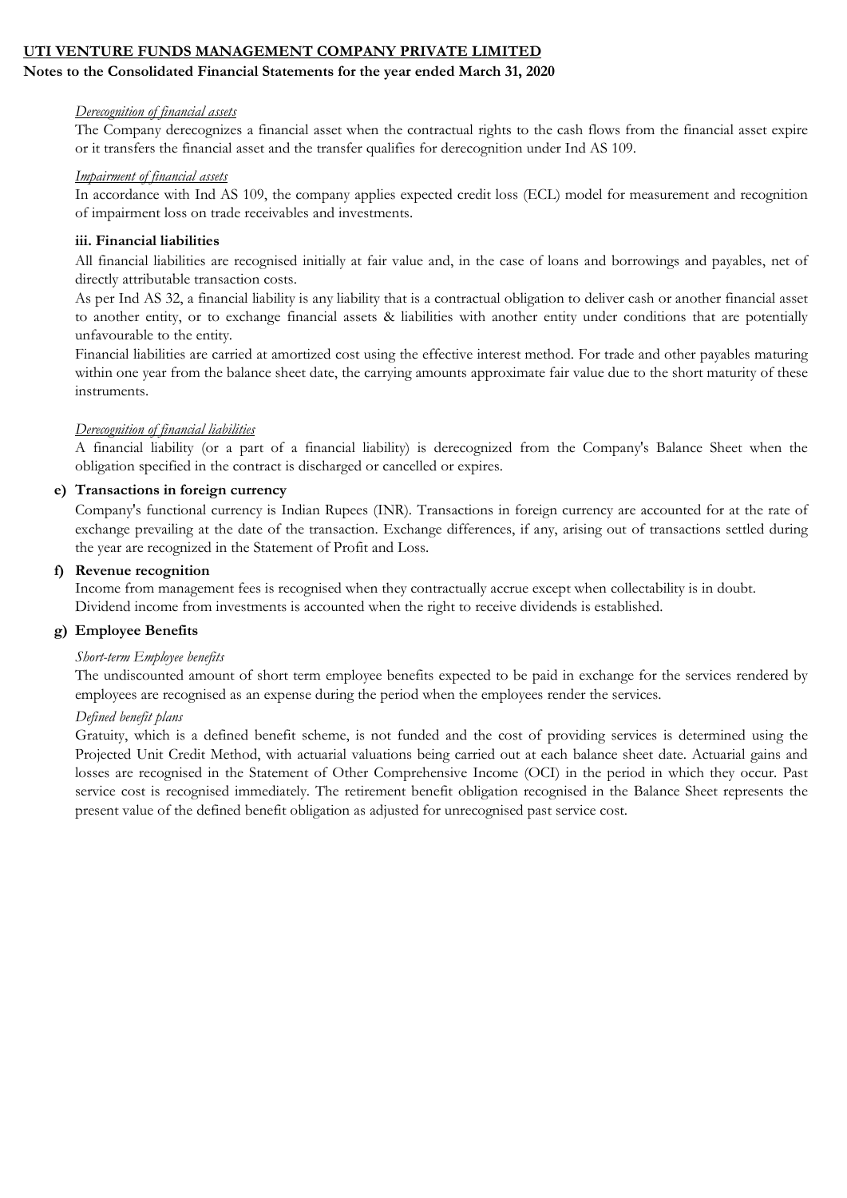### Notes to the Consolidated Financial Statements for the year ended March 31, 2020

#### Derecognition of financial assets

The Company derecognizes a financial asset when the contractual rights to the cash flows from the financial asset expire or it transfers the financial asset and the transfer qualifies for derecognition under Ind AS 109.

#### Impairment of financial assets

In accordance with Ind AS 109, the company applies expected credit loss (ECL) model for measurement and recognition of impairment loss on trade receivables and investments.

#### iii. Financial liabilities

All financial liabilities are recognised initially at fair value and, in the case of loans and borrowings and payables, net of directly attributable transaction costs.

As per Ind AS 32, a financial liability is any liability that is a contractual obligation to deliver cash or another financial asset to another entity, or to exchange financial assets & liabilities with another entity under conditions that are potentially unfavourable to the entity.

Financial liabilities are carried at amortized cost using the effective interest method. For trade and other payables maturing within one year from the balance sheet date, the carrying amounts approximate fair value due to the short maturity of these instruments.

#### Derecognition of financial liabilities

A financial liability (or a part of a financial liability) is derecognized from the Company's Balance Sheet when the obligation specified in the contract is discharged or cancelled or expires.

#### e) Transactions in foreign currency

Company's functional currency is Indian Rupees (INR). Transactions in foreign currency are accounted for at the rate of exchange prevailing at the date of the transaction. Exchange differences, if any, arising out of transactions settled during the year are recognized in the Statement of Profit and Loss.

#### f) Revenue recognition

Income from management fees is recognised when they contractually accrue except when collectability is in doubt. Dividend income from investments is accounted when the right to receive dividends is established.

### g) Employee Benefits

#### Short-term Employee benefits

The undiscounted amount of short term employee benefits expected to be paid in exchange for the services rendered by employees are recognised as an expense during the period when the employees render the services.

#### Defined benefit plans

Gratuity, which is a defined benefit scheme, is not funded and the cost of providing services is determined using the Projected Unit Credit Method, with actuarial valuations being carried out at each balance sheet date. Actuarial gains and losses are recognised in the Statement of Other Comprehensive Income (OCI) in the period in which they occur. Past service cost is recognised immediately. The retirement benefit obligation recognised in the Balance Sheet represents the present value of the defined benefit obligation as adjusted for unrecognised past service cost.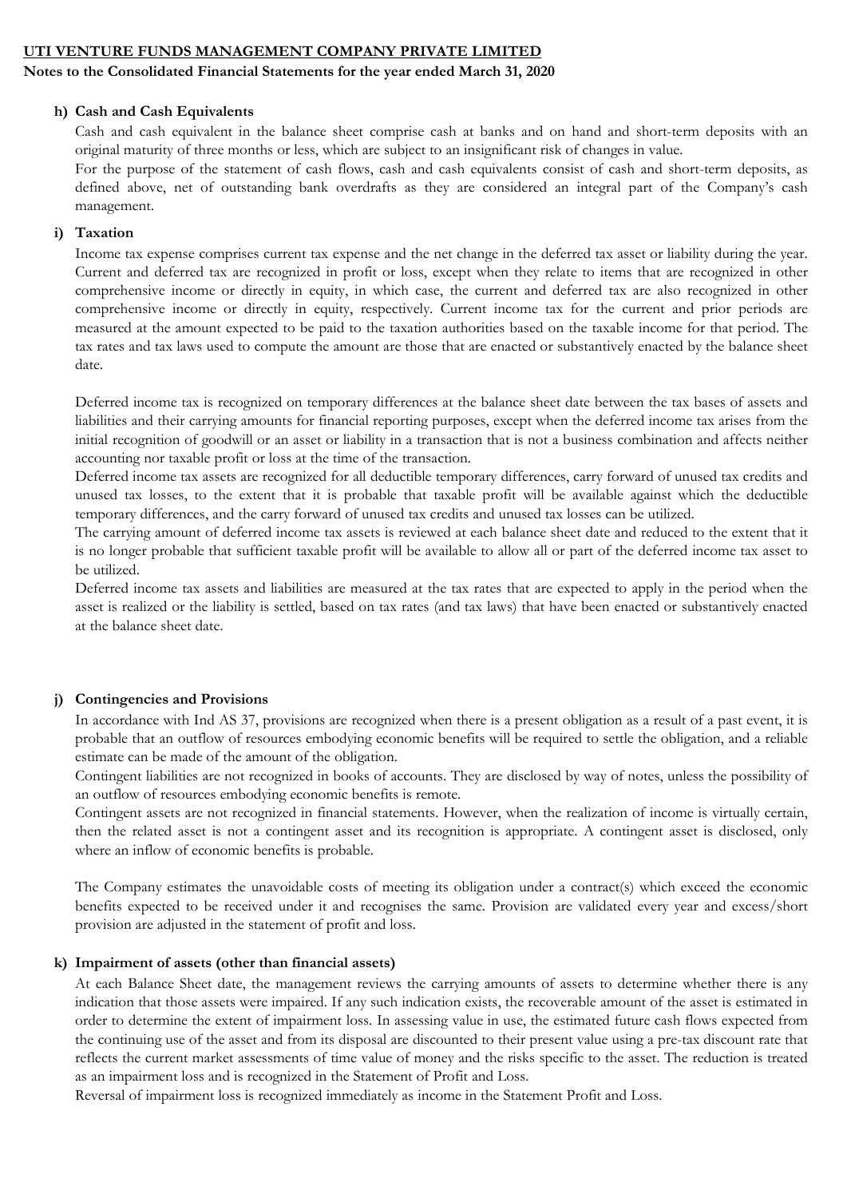#### Notes to the Consolidated Financial Statements for the year ended March 31, 2020

#### h) Cash and Cash Equivalents

Cash and cash equivalent in the balance sheet comprise cash at banks and on hand and short-term deposits with an original maturity of three months or less, which are subject to an insignificant risk of changes in value.

For the purpose of the statement of cash flows, cash and cash equivalents consist of cash and short-term deposits, as defined above, net of outstanding bank overdrafts as they are considered an integral part of the Company's cash management.

### i) Taxation

Income tax expense comprises current tax expense and the net change in the deferred tax asset or liability during the year. Current and deferred tax are recognized in profit or loss, except when they relate to items that are recognized in other comprehensive income or directly in equity, in which case, the current and deferred tax are also recognized in other comprehensive income or directly in equity, respectively. Current income tax for the current and prior periods are measured at the amount expected to be paid to the taxation authorities based on the taxable income for that period. The tax rates and tax laws used to compute the amount are those that are enacted or substantively enacted by the balance sheet date.

Deferred income tax is recognized on temporary differences at the balance sheet date between the tax bases of assets and liabilities and their carrying amounts for financial reporting purposes, except when the deferred income tax arises from the initial recognition of goodwill or an asset or liability in a transaction that is not a business combination and affects neither accounting nor taxable profit or loss at the time of the transaction.

Deferred income tax assets are recognized for all deductible temporary differences, carry forward of unused tax credits and unused tax losses, to the extent that it is probable that taxable profit will be available against which the deductible temporary differences, and the carry forward of unused tax credits and unused tax losses can be utilized.

The carrying amount of deferred income tax assets is reviewed at each balance sheet date and reduced to the extent that it is no longer probable that sufficient taxable profit will be available to allow all or part of the deferred income tax asset to be utilized.

Deferred income tax assets and liabilities are measured at the tax rates that are expected to apply in the period when the asset is realized or the liability is settled, based on tax rates (and tax laws) that have been enacted or substantively enacted at the balance sheet date.

#### j) Contingencies and Provisions

In accordance with Ind AS 37, provisions are recognized when there is a present obligation as a result of a past event, it is probable that an outflow of resources embodying economic benefits will be required to settle the obligation, and a reliable estimate can be made of the amount of the obligation.

Contingent liabilities are not recognized in books of accounts. They are disclosed by way of notes, unless the possibility of an outflow of resources embodying economic benefits is remote.

Contingent assets are not recognized in financial statements. However, when the realization of income is virtually certain, then the related asset is not a contingent asset and its recognition is appropriate. A contingent asset is disclosed, only where an inflow of economic benefits is probable.

The Company estimates the unavoidable costs of meeting its obligation under a contract(s) which exceed the economic benefits expected to be received under it and recognises the same. Provision are validated every year and excess/short provision are adjusted in the statement of profit and loss.

#### k) Impairment of assets (other than financial assets)

At each Balance Sheet date, the management reviews the carrying amounts of assets to determine whether there is any indication that those assets were impaired. If any such indication exists, the recoverable amount of the asset is estimated in order to determine the extent of impairment loss. In assessing value in use, the estimated future cash flows expected from the continuing use of the asset and from its disposal are discounted to their present value using a pre-tax discount rate that reflects the current market assessments of time value of money and the risks specific to the asset. The reduction is treated as an impairment loss and is recognized in the Statement of Profit and Loss.

Reversal of impairment loss is recognized immediately as income in the Statement Profit and Loss.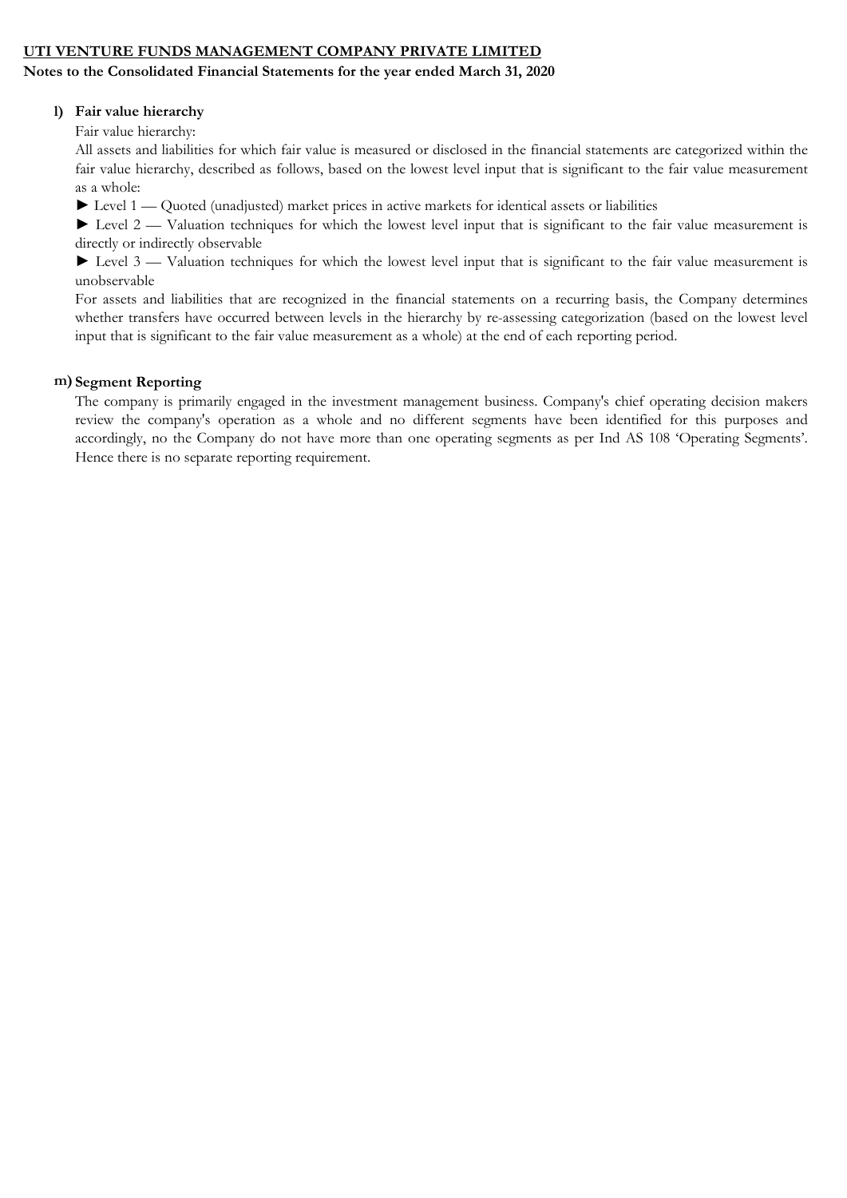#### Notes to the Consolidated Financial Statements for the year ended March 31, 2020

### l) Fair value hierarchy

Fair value hierarchy:

All assets and liabilities for which fair value is measured or disclosed in the financial statements are categorized within the fair value hierarchy, described as follows, based on the lowest level input that is significant to the fair value measurement as a whole:

► Level 1 — Quoted (unadjusted) market prices in active markets for identical assets or liabilities

► Level 2 — Valuation techniques for which the lowest level input that is significant to the fair value measurement is directly or indirectly observable

► Level 3 — Valuation techniques for which the lowest level input that is significant to the fair value measurement is unobservable

For assets and liabilities that are recognized in the financial statements on a recurring basis, the Company determines whether transfers have occurred between levels in the hierarchy by re-assessing categorization (based on the lowest level input that is significant to the fair value measurement as a whole) at the end of each reporting period.

### m) Segment Reporting

The company is primarily engaged in the investment management business. Company's chief operating decision makers review the company's operation as a whole and no different segments have been identified for this purposes and accordingly, no the Company do not have more than one operating segments as per Ind AS 108 'Operating Segments'. Hence there is no separate reporting requirement.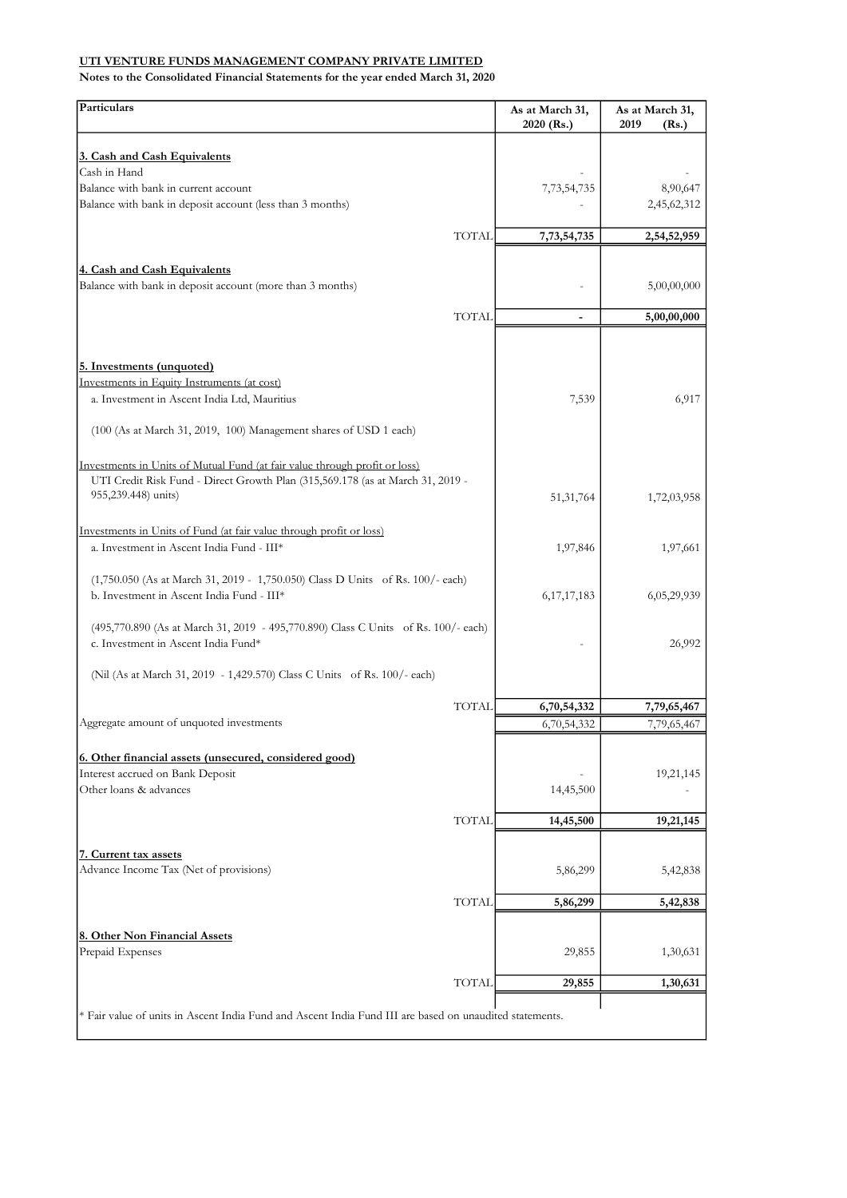| Particulars                                                                                                               | As at March 31,<br>2020 (Rs.) | As at March 31,<br>2019<br>(Rs.) |
|---------------------------------------------------------------------------------------------------------------------------|-------------------------------|----------------------------------|
| 3. Cash and Cash Equivalents                                                                                              |                               |                                  |
| Cash in Hand                                                                                                              |                               |                                  |
| Balance with bank in current account                                                                                      | 7, 73, 54, 735                | 8,90,647                         |
| Balance with bank in deposit account (less than 3 months)                                                                 |                               | 2,45,62,312                      |
| <b>TOTAL</b>                                                                                                              | 7,73,54,735                   | 2,54,52,959                      |
|                                                                                                                           |                               |                                  |
| 4. Cash and Cash Equivalents<br>Balance with bank in deposit account (more than 3 months)                                 |                               | 5,00,00,000                      |
| <b>TOTAL</b>                                                                                                              | $\overline{\phantom{a}}$      | 5,00,00,000                      |
|                                                                                                                           |                               |                                  |
|                                                                                                                           |                               |                                  |
| 5. Investments (unquoted)<br>Investments in Equity Instruments (at cost)                                                  |                               |                                  |
| a. Investment in Ascent India Ltd, Mauritius                                                                              | 7,539                         | 6,917                            |
|                                                                                                                           |                               |                                  |
| (100 (As at March 31, 2019, 100) Management shares of USD 1 each)                                                         |                               |                                  |
| Investments in Units of Mutual Fund (at fair value through profit or loss)                                                |                               |                                  |
| UTI Credit Risk Fund - Direct Growth Plan (315,569.178 (as at March 31, 2019 -                                            |                               |                                  |
| 955,239.448) units)                                                                                                       | 51,31,764                     | 1,72,03,958                      |
| Investments in Units of Fund (at fair value through profit or loss)                                                       |                               |                                  |
| a. Investment in Ascent India Fund - III*                                                                                 | 1,97,846                      | 1,97,661                         |
|                                                                                                                           |                               |                                  |
| (1,750.050 (As at March 31, 2019 - 1,750.050) Class D Units of Rs. 100/- each)                                            |                               |                                  |
| b. Investment in Ascent India Fund - III*                                                                                 | 6, 17, 17, 183                | 6,05,29,939                      |
| (495,770.890 (As at March 31, 2019 - 495,770.890) Class C Units of Rs. 100/- each)<br>c. Investment in Ascent India Fund* |                               | 26,992                           |
| (Nil (As at March 31, 2019 - 1,429.570) Class C Units of Rs. 100/- each)                                                  |                               |                                  |
|                                                                                                                           |                               |                                  |
| <b>TOTAL</b>                                                                                                              | 6,70,54,332                   | 7,79,65,467                      |
| Aggregate amount of unquoted investments                                                                                  | 6,70,54,332                   | 7,79,65,467                      |
| 6. Other financial assets (unsecured, considered good)                                                                    |                               |                                  |
| Interest accrued on Bank Deposit                                                                                          |                               | 19,21,145                        |
| Other loans & advances                                                                                                    | 14,45,500                     |                                  |
| <b>TOTAL</b>                                                                                                              | 14,45,500                     | 19,21,145                        |
|                                                                                                                           |                               |                                  |
| 7. Current tax assets                                                                                                     |                               |                                  |
| Advance Income Tax (Net of provisions)                                                                                    | 5,86,299                      | 5,42,838                         |
| TOTAL                                                                                                                     | 5,86,299                      | 5,42,838                         |
|                                                                                                                           |                               |                                  |
| 8. Other Non Financial Assets<br>Prepaid Expenses                                                                         | 29,855                        | 1,30,631                         |
|                                                                                                                           |                               |                                  |
| <b>TOTAL</b>                                                                                                              | 29,855                        | 1,30,631                         |
| * Fair value of units in Ascent India Fund and Ascent India Fund III are based on unaudited statements.                   |                               |                                  |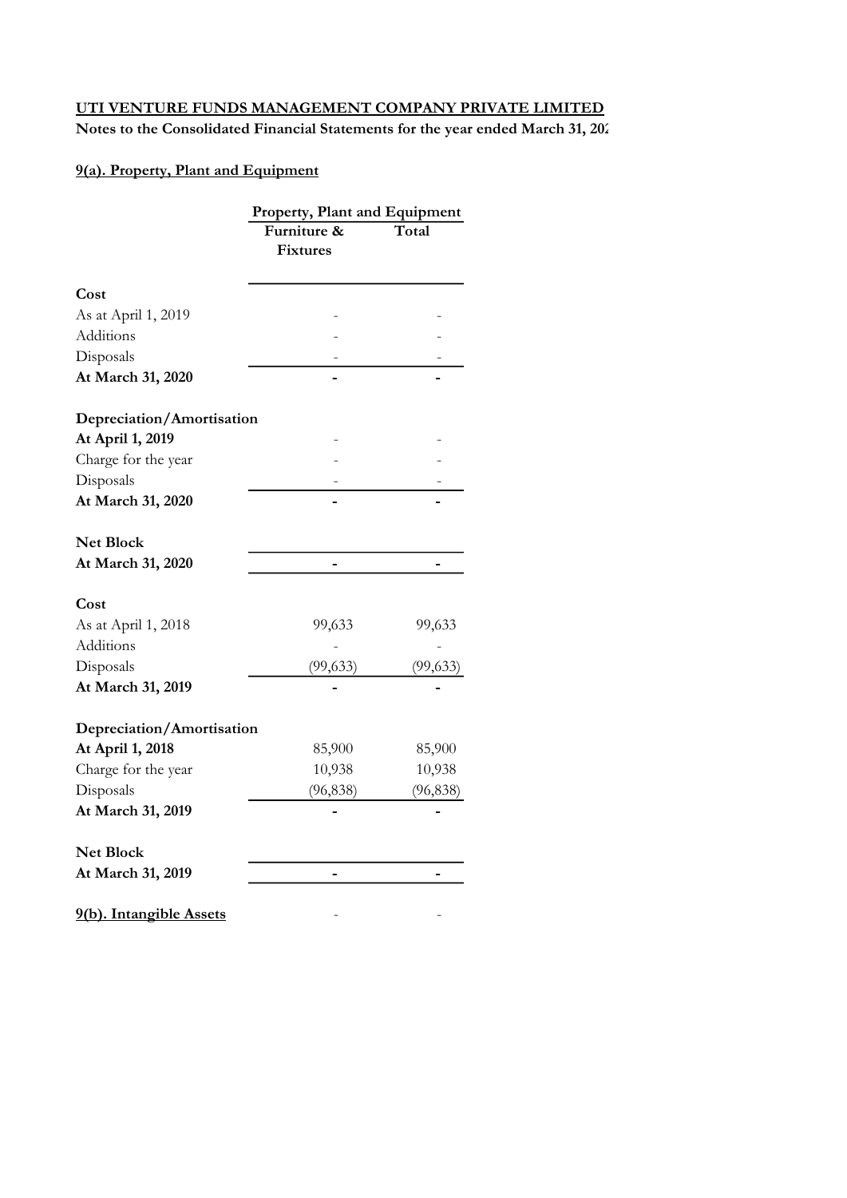Notes to the Consolidated Financial Statements for the year ended March 31, 202

# 9(a). Property, Plant and Equipment

|                           | Property, Plant and Equipment  |           |  |  |
|---------------------------|--------------------------------|-----------|--|--|
|                           | Furniture &<br><b>Fixtures</b> | Total     |  |  |
| Cost                      |                                |           |  |  |
| As at April 1, 2019       |                                |           |  |  |
| Additions                 |                                |           |  |  |
| Disposals                 |                                |           |  |  |
| At March 31, 2020         |                                |           |  |  |
| Depreciation/Amortisation |                                |           |  |  |
| At April 1, 2019          |                                |           |  |  |
| Charge for the year       |                                |           |  |  |
| Disposals                 |                                |           |  |  |
| At March 31, 2020         |                                |           |  |  |
| <b>Net Block</b>          |                                |           |  |  |
| At March 31, 2020         |                                |           |  |  |
| Cost                      |                                |           |  |  |
| As at April 1, 2018       | 99,633                         | 99,633    |  |  |
| Additions                 |                                |           |  |  |
| Disposals                 | (99, 633)                      | (99, 633) |  |  |
| At March 31, 2019         |                                |           |  |  |
| Depreciation/Amortisation |                                |           |  |  |
| At April 1, 2018          | 85,900                         | 85,900    |  |  |
| Charge for the year       | 10,938                         | 10,938    |  |  |
| Disposals                 | (96, 838)                      | (96, 838) |  |  |
| At March 31, 2019         |                                |           |  |  |
| <b>Net Block</b>          |                                |           |  |  |
| At March 31, 2019         |                                |           |  |  |
| 9(b). Intangible Assets   |                                |           |  |  |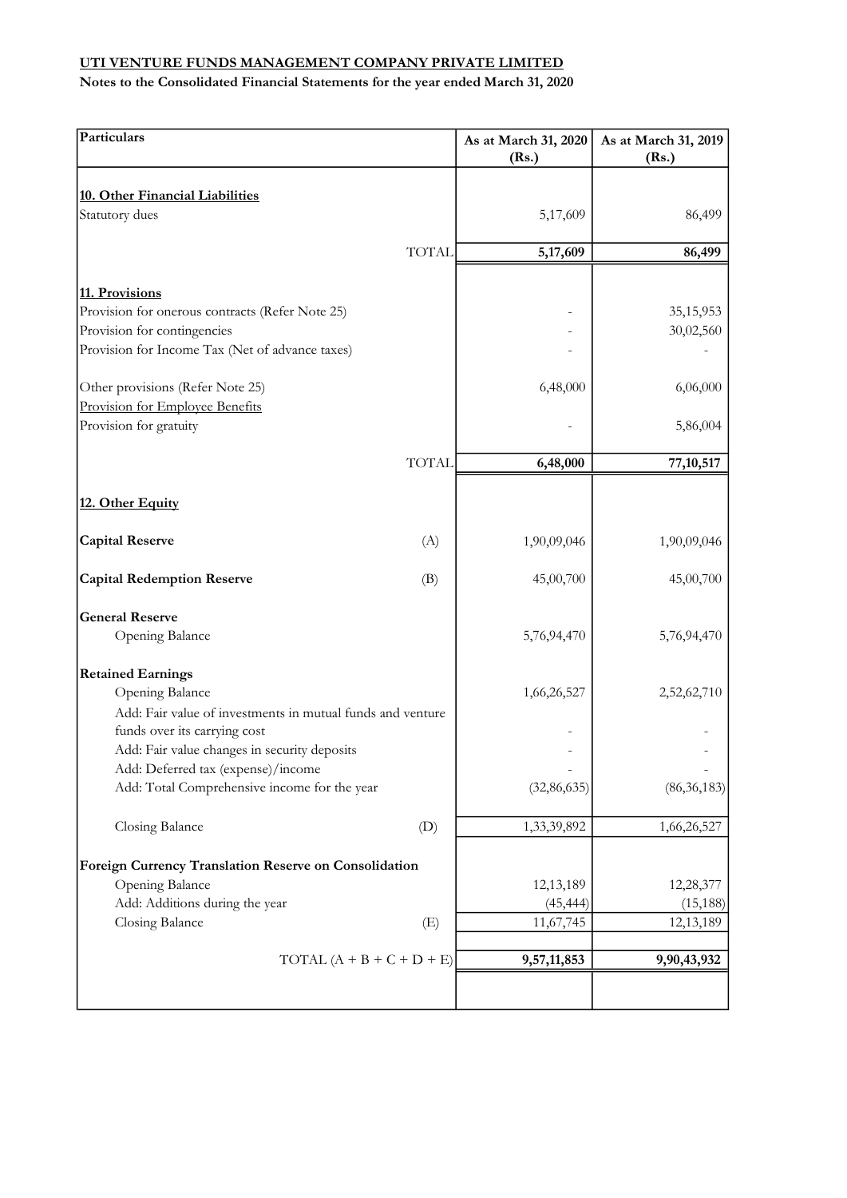| 10. Other Financial Liabilities<br>Statutory dues<br>5,17,609<br><b>TOTAL</b><br>5,17,609<br>86,499<br>11. Provisions<br>Provision for onerous contracts (Refer Note 25)<br>Provision for contingencies<br>Provision for Income Tax (Net of advance taxes)<br>6,48,000<br>Other provisions (Refer Note 25)<br>Provision for Employee Benefits<br>Provision for gratuity<br><b>TOTAL</b><br>6,48,000<br>12. Other Equity<br><b>Capital Reserve</b><br>1,90,09,046<br>(A)<br><b>Capital Redemption Reserve</b><br>45,00,700<br>(B)<br><b>General Reserve</b><br>Opening Balance<br>5,76,94,470<br><b>Retained Earnings</b><br>Opening Balance<br>1,66,26,527<br>Add: Fair value of investments in mutual funds and venture<br>funds over its carrying cost<br>Add: Fair value changes in security deposits<br>Add: Deferred tax (expense)/income<br>Add: Total Comprehensive income for the year<br>(32, 86, 635)<br>Closing Balance<br>(D)<br>1,33,39,892 | Particulars                                           | As at March 31, 2020<br>(Rs.) | As at March 31, 2019<br>(Rs.) |
|----------------------------------------------------------------------------------------------------------------------------------------------------------------------------------------------------------------------------------------------------------------------------------------------------------------------------------------------------------------------------------------------------------------------------------------------------------------------------------------------------------------------------------------------------------------------------------------------------------------------------------------------------------------------------------------------------------------------------------------------------------------------------------------------------------------------------------------------------------------------------------------------------------------------------------------------------------|-------------------------------------------------------|-------------------------------|-------------------------------|
|                                                                                                                                                                                                                                                                                                                                                                                                                                                                                                                                                                                                                                                                                                                                                                                                                                                                                                                                                          |                                                       |                               |                               |
|                                                                                                                                                                                                                                                                                                                                                                                                                                                                                                                                                                                                                                                                                                                                                                                                                                                                                                                                                          |                                                       |                               | 86,499                        |
|                                                                                                                                                                                                                                                                                                                                                                                                                                                                                                                                                                                                                                                                                                                                                                                                                                                                                                                                                          |                                                       |                               |                               |
|                                                                                                                                                                                                                                                                                                                                                                                                                                                                                                                                                                                                                                                                                                                                                                                                                                                                                                                                                          |                                                       |                               |                               |
|                                                                                                                                                                                                                                                                                                                                                                                                                                                                                                                                                                                                                                                                                                                                                                                                                                                                                                                                                          |                                                       |                               |                               |
|                                                                                                                                                                                                                                                                                                                                                                                                                                                                                                                                                                                                                                                                                                                                                                                                                                                                                                                                                          |                                                       |                               | 35, 15, 953                   |
|                                                                                                                                                                                                                                                                                                                                                                                                                                                                                                                                                                                                                                                                                                                                                                                                                                                                                                                                                          |                                                       |                               | 30,02,560                     |
|                                                                                                                                                                                                                                                                                                                                                                                                                                                                                                                                                                                                                                                                                                                                                                                                                                                                                                                                                          |                                                       |                               |                               |
|                                                                                                                                                                                                                                                                                                                                                                                                                                                                                                                                                                                                                                                                                                                                                                                                                                                                                                                                                          |                                                       |                               | 6,06,000                      |
|                                                                                                                                                                                                                                                                                                                                                                                                                                                                                                                                                                                                                                                                                                                                                                                                                                                                                                                                                          |                                                       |                               |                               |
|                                                                                                                                                                                                                                                                                                                                                                                                                                                                                                                                                                                                                                                                                                                                                                                                                                                                                                                                                          |                                                       |                               | 5,86,004                      |
|                                                                                                                                                                                                                                                                                                                                                                                                                                                                                                                                                                                                                                                                                                                                                                                                                                                                                                                                                          |                                                       |                               | 77, 10, 517                   |
|                                                                                                                                                                                                                                                                                                                                                                                                                                                                                                                                                                                                                                                                                                                                                                                                                                                                                                                                                          |                                                       |                               |                               |
|                                                                                                                                                                                                                                                                                                                                                                                                                                                                                                                                                                                                                                                                                                                                                                                                                                                                                                                                                          |                                                       |                               |                               |
|                                                                                                                                                                                                                                                                                                                                                                                                                                                                                                                                                                                                                                                                                                                                                                                                                                                                                                                                                          |                                                       |                               | 1,90,09,046                   |
|                                                                                                                                                                                                                                                                                                                                                                                                                                                                                                                                                                                                                                                                                                                                                                                                                                                                                                                                                          |                                                       |                               | 45,00,700                     |
|                                                                                                                                                                                                                                                                                                                                                                                                                                                                                                                                                                                                                                                                                                                                                                                                                                                                                                                                                          |                                                       |                               |                               |
|                                                                                                                                                                                                                                                                                                                                                                                                                                                                                                                                                                                                                                                                                                                                                                                                                                                                                                                                                          |                                                       |                               | 5,76,94,470                   |
|                                                                                                                                                                                                                                                                                                                                                                                                                                                                                                                                                                                                                                                                                                                                                                                                                                                                                                                                                          |                                                       |                               |                               |
|                                                                                                                                                                                                                                                                                                                                                                                                                                                                                                                                                                                                                                                                                                                                                                                                                                                                                                                                                          |                                                       |                               | 2,52,62,710                   |
|                                                                                                                                                                                                                                                                                                                                                                                                                                                                                                                                                                                                                                                                                                                                                                                                                                                                                                                                                          |                                                       |                               |                               |
|                                                                                                                                                                                                                                                                                                                                                                                                                                                                                                                                                                                                                                                                                                                                                                                                                                                                                                                                                          |                                                       |                               |                               |
|                                                                                                                                                                                                                                                                                                                                                                                                                                                                                                                                                                                                                                                                                                                                                                                                                                                                                                                                                          |                                                       |                               |                               |
|                                                                                                                                                                                                                                                                                                                                                                                                                                                                                                                                                                                                                                                                                                                                                                                                                                                                                                                                                          |                                                       |                               |                               |
|                                                                                                                                                                                                                                                                                                                                                                                                                                                                                                                                                                                                                                                                                                                                                                                                                                                                                                                                                          |                                                       |                               | (86, 36, 183)                 |
|                                                                                                                                                                                                                                                                                                                                                                                                                                                                                                                                                                                                                                                                                                                                                                                                                                                                                                                                                          |                                                       |                               | 1,66,26,527                   |
|                                                                                                                                                                                                                                                                                                                                                                                                                                                                                                                                                                                                                                                                                                                                                                                                                                                                                                                                                          | Foreign Currency Translation Reserve on Consolidation |                               |                               |
| Opening Balance<br>12,13,189                                                                                                                                                                                                                                                                                                                                                                                                                                                                                                                                                                                                                                                                                                                                                                                                                                                                                                                             |                                                       |                               | 12,28,377                     |
| Add: Additions during the year<br>(45, 444)                                                                                                                                                                                                                                                                                                                                                                                                                                                                                                                                                                                                                                                                                                                                                                                                                                                                                                              |                                                       |                               | (15, 188)                     |
| Closing Balance<br>(E)<br>11,67,745                                                                                                                                                                                                                                                                                                                                                                                                                                                                                                                                                                                                                                                                                                                                                                                                                                                                                                                      |                                                       |                               | 12,13,189                     |
| TOTAL $(A + B + C + D + E)$<br>9,57,11,853                                                                                                                                                                                                                                                                                                                                                                                                                                                                                                                                                                                                                                                                                                                                                                                                                                                                                                               |                                                       |                               | 9,90,43,932                   |
|                                                                                                                                                                                                                                                                                                                                                                                                                                                                                                                                                                                                                                                                                                                                                                                                                                                                                                                                                          |                                                       |                               |                               |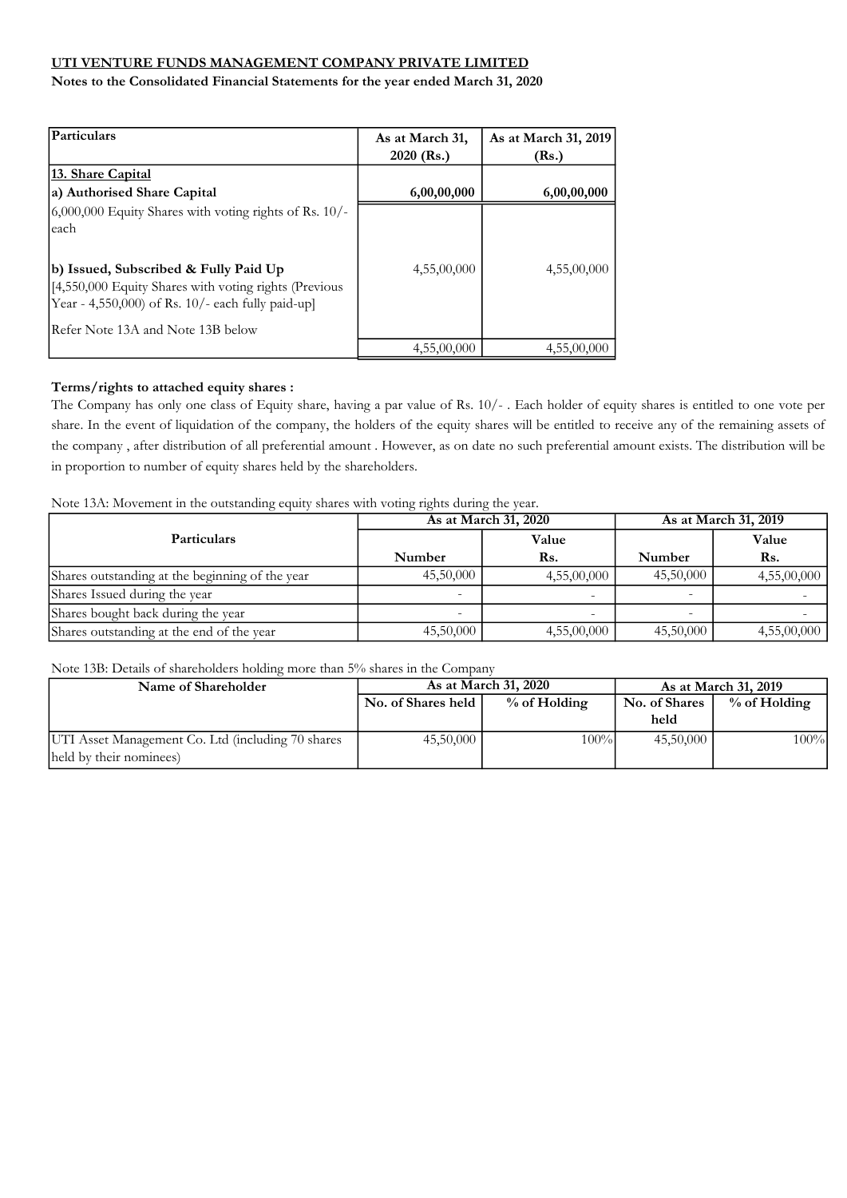Notes to the Consolidated Financial Statements for the year ended March 31, 2020

| Particulars                                                                                                                                                                                                                                                       | As at March 31,<br>$2020$ (Rs.) | As at March 31, 2019<br>(Rs.) |
|-------------------------------------------------------------------------------------------------------------------------------------------------------------------------------------------------------------------------------------------------------------------|---------------------------------|-------------------------------|
| <u> 13. Share Capital</u><br>a) Authorised Share Capital                                                                                                                                                                                                          | 6,00,00,000                     | 6,00,00,000                   |
| $(6,000,000)$ Equity Shares with voting rights of Rs. 10/-<br>each<br>b) Issued, Subscribed & Fully Paid Up<br>[4,550,000 Equity Shares with voting rights (Previous<br>Year - 4,550,000) of Rs. $10/-$ each fully paid-up]<br>IRefer Note 13A and Note 13B below | 4,55,00,000                     | 4,55,00,000                   |
|                                                                                                                                                                                                                                                                   | 4,55,00,000                     | 4,55,00,000                   |

### Terms/rights to attached equity shares :

The Company has only one class of Equity share, having a par value of Rs. 10/- . Each holder of equity shares is entitled to one vote per share. In the event of liquidation of the company, the holders of the equity shares will be entitled to receive any of the remaining assets of the company , after distribution of all preferential amount . However, as on date no such preferential amount exists. The distribution will be in proportion to number of equity shares held by the shareholders.

Note 13A: Movement in the outstanding equity shares with voting rights during the year.

|                                                 |           | As at March 31, 2020 | As at March 31, 2019 |             |  |
|-------------------------------------------------|-----------|----------------------|----------------------|-------------|--|
| <b>Particulars</b>                              |           | Value                |                      | Value       |  |
|                                                 | Number    | Rs.                  | Number               | Rs.         |  |
| Shares outstanding at the beginning of the year | 45,50,000 | 4,55,00,000          | 45,50,000            | 4,55,00,000 |  |
| Shares Issued during the year                   |           |                      | -                    |             |  |
| Shares bought back during the year              |           | $\overline{a}$       |                      |             |  |
| Shares outstanding at the end of the year       | 45,50,000 | 4,55,00,000          | 45,50,000            | 4,55,00,000 |  |

Note 13B: Details of shareholders holding more than 5% shares in the Company

| Name of Shareholder                               | As at March 31, 2020 |                | As at March 31, 2019 |              |
|---------------------------------------------------|----------------------|----------------|----------------------|--------------|
|                                                   | No. of Shares held   | $%$ of Holding | No. of Shares        | % of Holding |
|                                                   |                      |                | held                 |              |
| UTI Asset Management Co. Ltd (including 70 shares | 45,50,000            | 100%           | 45,50,000            | 100%         |
| held by their nominees)                           |                      |                |                      |              |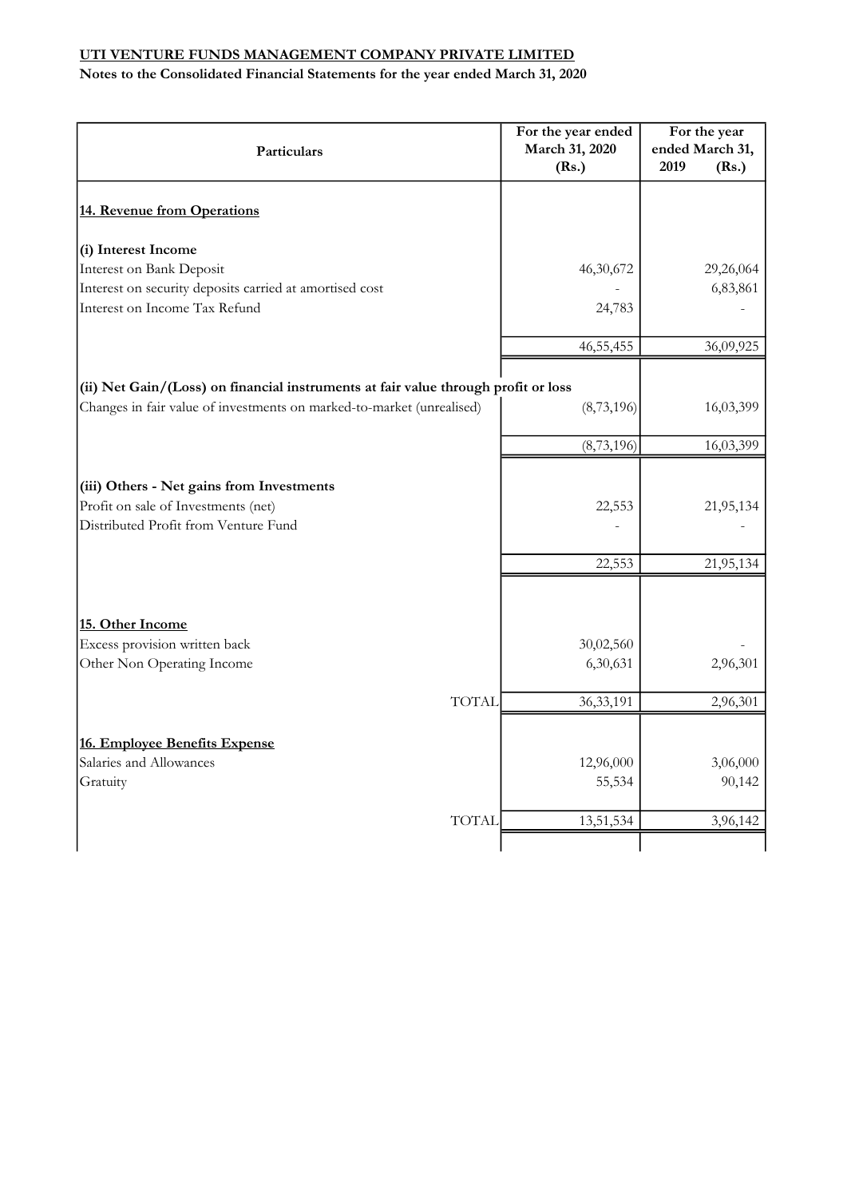| Particulars                                                                        | For the year ended<br>March 31, 2020<br>(Rs.) | For the year<br>ended March 31,<br>2019<br>(Rs.) |
|------------------------------------------------------------------------------------|-----------------------------------------------|--------------------------------------------------|
| 14. Revenue from Operations                                                        |                                               |                                                  |
| (i) Interest Income                                                                |                                               |                                                  |
| Interest on Bank Deposit                                                           | 46,30,672                                     | 29,26,064                                        |
| Interest on security deposits carried at amortised cost                            |                                               | 6,83,861                                         |
| Interest on Income Tax Refund                                                      | 24,783                                        |                                                  |
|                                                                                    | 46, 55, 455                                   | 36,09,925                                        |
| (ii) Net Gain/(Loss) on financial instruments at fair value through profit or loss |                                               |                                                  |
| Changes in fair value of investments on marked-to-market (unrealised)              | (8, 73, 196)                                  | 16,03,399                                        |
|                                                                                    | (8, 73, 196)                                  | 16,03,399                                        |
| (iii) Others - Net gains from Investments                                          |                                               |                                                  |
| Profit on sale of Investments (net)                                                | 22,553                                        | 21,95,134                                        |
| Distributed Profit from Venture Fund                                               |                                               |                                                  |
|                                                                                    | 22,553                                        | 21,95,134                                        |
|                                                                                    |                                               |                                                  |
| 15. Other Income<br>Excess provision written back                                  | 30,02,560                                     |                                                  |
| Other Non Operating Income                                                         | 6,30,631                                      | 2,96,301                                         |
| <b>TOTAL</b>                                                                       | 36,33,191                                     | 2,96,301                                         |
|                                                                                    |                                               |                                                  |
| 16. Employee Benefits Expense                                                      |                                               |                                                  |
| Salaries and Allowances                                                            | 12,96,000                                     | 3,06,000                                         |
| Gratuity                                                                           | 55,534                                        | 90,142                                           |
| <b>TOTAL</b>                                                                       | 13,51,534                                     | 3,96,142                                         |
|                                                                                    |                                               |                                                  |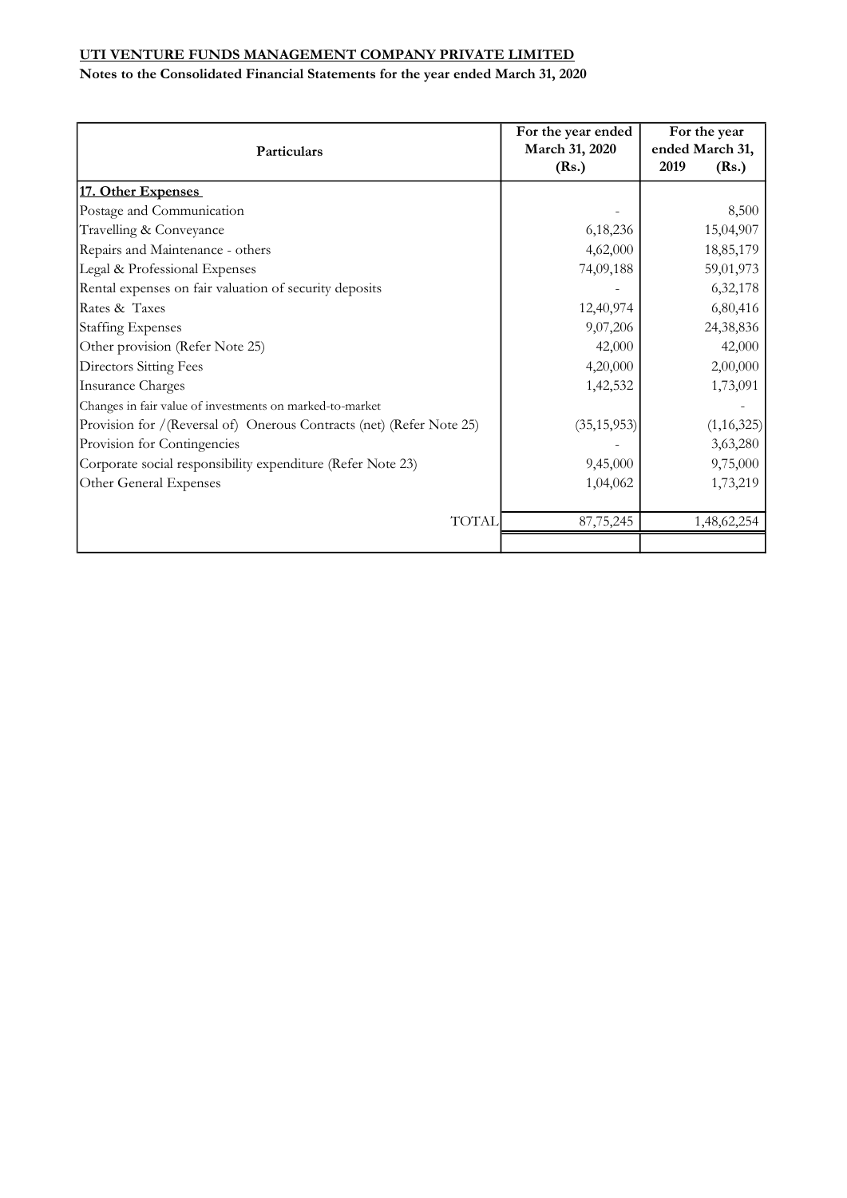|                                                                      | For the year ended<br>March 31, 2020 | For the year<br>ended March 31, |  |
|----------------------------------------------------------------------|--------------------------------------|---------------------------------|--|
| Particulars                                                          | (Rs.)                                | 2019<br>(Rs.)                   |  |
| 17. Other Expenses                                                   |                                      |                                 |  |
| Postage and Communication                                            |                                      | 8,500                           |  |
| Travelling & Conveyance                                              | 6,18,236                             | 15,04,907                       |  |
| Repairs and Maintenance - others                                     | 4,62,000                             | 18,85,179                       |  |
| Legal & Professional Expenses                                        | 74,09,188                            | 59,01,973                       |  |
| Rental expenses on fair valuation of security deposits               |                                      | 6,32,178                        |  |
| Rates & Taxes                                                        | 12,40,974                            | 6,80,416                        |  |
| <b>Staffing Expenses</b>                                             | 9,07,206                             | 24,38,836                       |  |
| Other provision (Refer Note 25)                                      | 42,000                               | 42,000                          |  |
| Directors Sitting Fees                                               | 4,20,000                             | 2,00,000                        |  |
| <b>Insurance Charges</b>                                             | 1,42,532                             | 1,73,091                        |  |
| Changes in fair value of investments on marked-to-market             |                                      |                                 |  |
| Provision for /(Reversal of) Onerous Contracts (net) (Refer Note 25) | (35, 15, 953)                        | (1,16,325)                      |  |
| Provision for Contingencies                                          |                                      | 3,63,280                        |  |
| Corporate social responsibility expenditure (Refer Note 23)          | 9,45,000                             | 9,75,000                        |  |
| Other General Expenses                                               | 1,04,062                             | 1,73,219                        |  |
| <b>TOTAL</b>                                                         | 87,75,245                            | 1,48,62,254                     |  |
|                                                                      |                                      |                                 |  |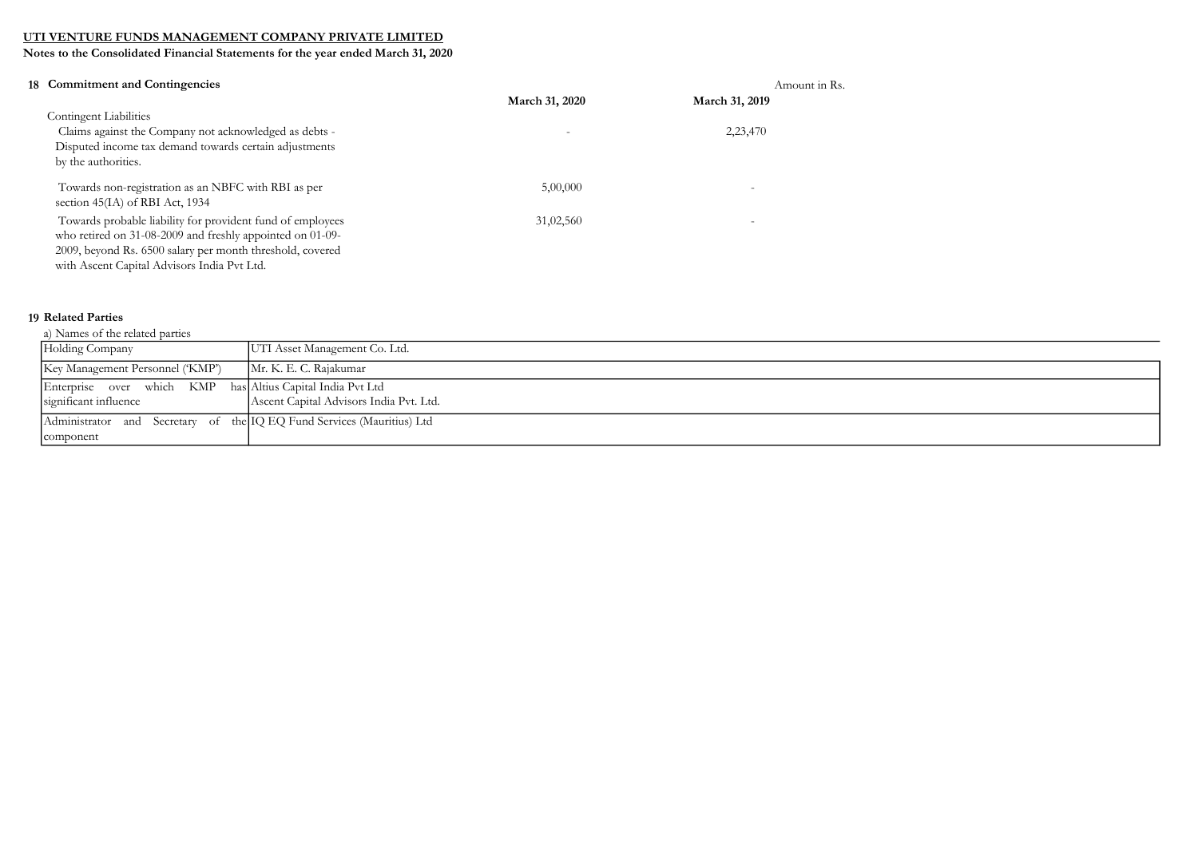Notes to the Consolidated Financial Statements for the year ended March 31, 2020

|                                                                                                                                                                                                                                                                                                                                                                                                                                                                                                                                              | Amount in Rs.            |
|----------------------------------------------------------------------------------------------------------------------------------------------------------------------------------------------------------------------------------------------------------------------------------------------------------------------------------------------------------------------------------------------------------------------------------------------------------------------------------------------------------------------------------------------|--------------------------|
| March 31, 2020                                                                                                                                                                                                                                                                                                                                                                                                                                                                                                                               | March 31, 2019           |
|                                                                                                                                                                                                                                                                                                                                                                                                                                                                                                                                              |                          |
|                                                                                                                                                                                                                                                                                                                                                                                                                                                                                                                                              | 2,23,470                 |
|                                                                                                                                                                                                                                                                                                                                                                                                                                                                                                                                              |                          |
|                                                                                                                                                                                                                                                                                                                                                                                                                                                                                                                                              |                          |
| 5,00,000                                                                                                                                                                                                                                                                                                                                                                                                                                                                                                                                     | ۰                        |
| 31,02,560                                                                                                                                                                                                                                                                                                                                                                                                                                                                                                                                    | $\overline{\phantom{0}}$ |
| 18 Commitment and Contingencies<br><b>Contingent Liabilities</b><br>Claims against the Company not acknowledged as debts -<br>Disputed income tax demand towards certain adjustments<br>by the authorities.<br>Towards non-registration as an NBFC with RBI as per<br>section 45(IA) of RBI Act, 1934<br>Towards probable liability for provident fund of employees<br>who retired on 31-08-2009 and freshly appointed on 01-09-<br>2009, beyond Rs. 6500 salary per month threshold, covered<br>with Ascent Capital Advisors India Pvt Ltd. |                          |

#### 19 Related Parties

| a) Names of the related parties |  |  |
|---------------------------------|--|--|

| Holding Company                                                                     | UTI Asset Management Co. Ltd.           |
|-------------------------------------------------------------------------------------|-----------------------------------------|
| Key Management Personnel ('KMP')                                                    | Mr. K. E. C. Rajakumar                  |
| Enterprise over which KMP has Altius Capital India Pvt Ltd<br>significant influence | Ascent Capital Advisors India Pvt. Ltd. |
| Administrator and Secretary of the IQ EQ Fund Services (Mauritius) Ltd<br>component |                                         |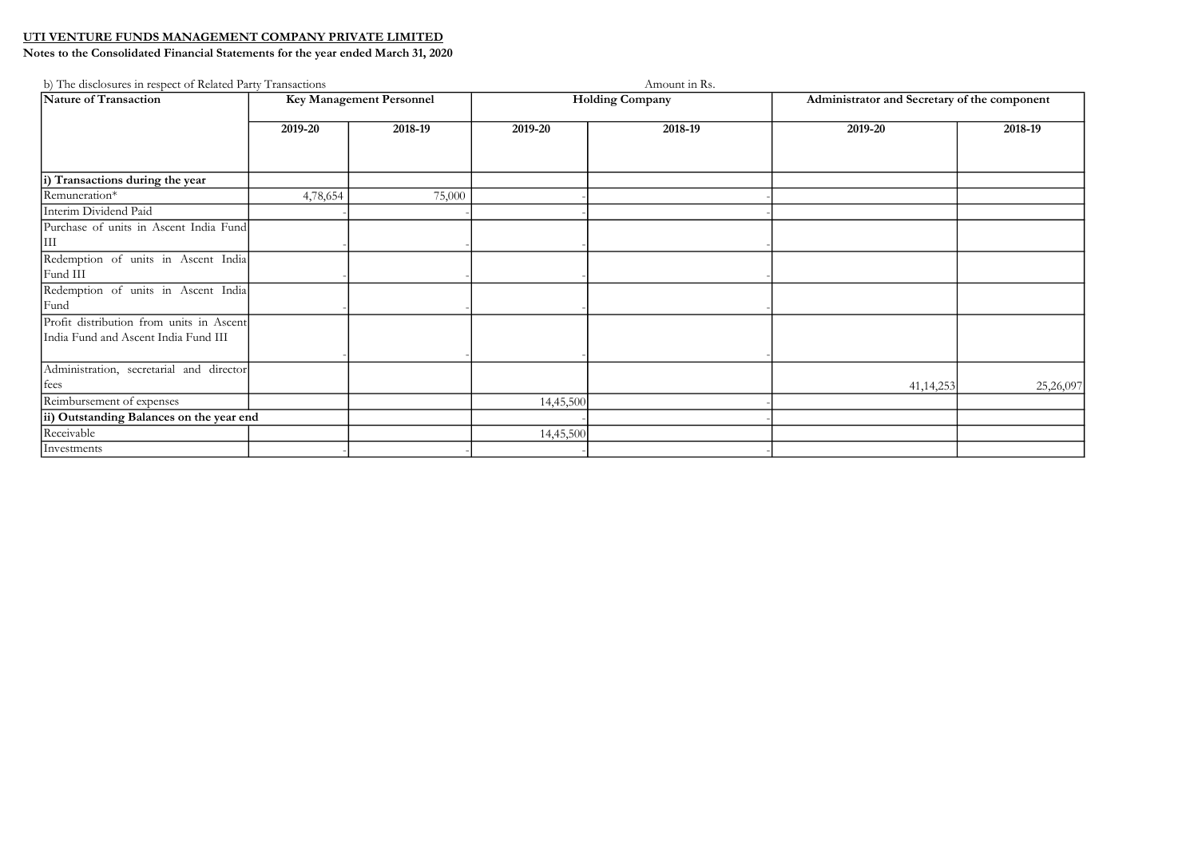| b) The disclosures in respect of Related Party Transactions                      |                          |         |                        | Amount in Rs. |                                              |           |
|----------------------------------------------------------------------------------|--------------------------|---------|------------------------|---------------|----------------------------------------------|-----------|
| Nature of Transaction                                                            | Key Management Personnel |         | <b>Holding Company</b> |               | Administrator and Secretary of the component |           |
|                                                                                  | 2019-20                  | 2018-19 | 2019-20                | 2018-19       | 2019-20                                      | 2018-19   |
| i) Transactions during the year                                                  |                          |         |                        |               |                                              |           |
| Remuneration*                                                                    | 4,78,654                 | 75,000  |                        |               |                                              |           |
| Interim Dividend Paid<br>Purchase of units in Ascent India Fund<br>IШ            |                          |         |                        |               |                                              |           |
| Redemption of units in Ascent India<br>Fund III                                  |                          |         |                        |               |                                              |           |
| Redemption of units in Ascent India<br>Fund                                      |                          |         |                        |               |                                              |           |
| Profit distribution from units in Ascent<br>India Fund and Ascent India Fund III |                          |         |                        |               |                                              |           |
| Administration, secretarial and director<br>  fees                               |                          |         |                        |               | 41, 14, 253                                  | 25,26,097 |
| Reimbursement of expenses                                                        |                          |         | 14,45,500              |               |                                              |           |
| ii) Outstanding Balances on the year end                                         |                          |         |                        |               |                                              |           |
| Receivable                                                                       |                          |         | 14,45,500              |               |                                              |           |
| Investments                                                                      |                          |         |                        |               |                                              |           |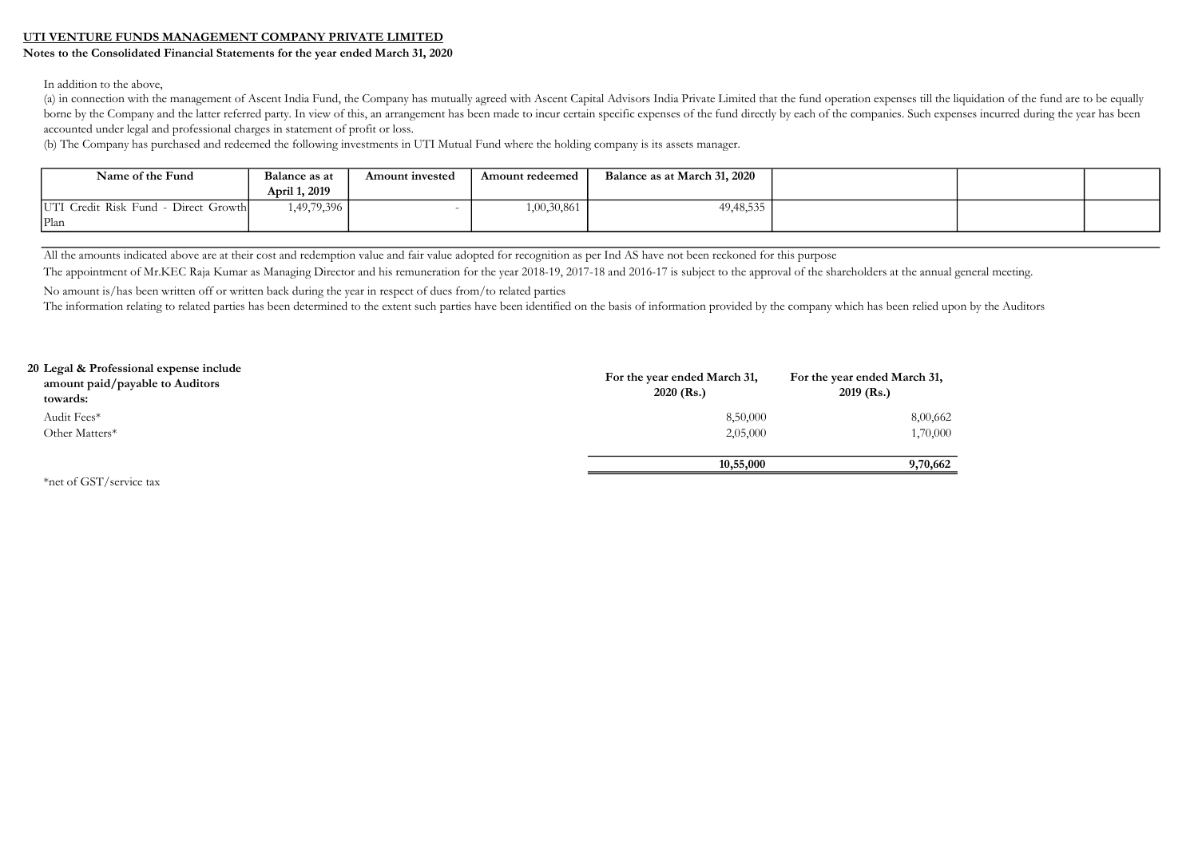#### Notes to the Consolidated Financial Statements for the year ended March 31, 2020

In addition to the above,

(a) in connection with the management of Ascent India Fund, the Company has mutually agreed with Ascent Capital Advisors India Private Limited that the fund operation expenses till the liquidation of the fund are to be equ borne by the Company and the latter referred party. In view of this, an arrangement has been made to incur certain specific expenses of the fund directly by each of the companies. Such expenses incurred during the year has accounted under legal and professional charges in statement of profit or loss.

(b) The Company has purchased and redeemed the following investments in UTI Mutual Fund where the holding company is its assets manager.

| Name of the Fund                     | Balance as at | Amount invested | Amount redeemed | Balance as at March 31, 2020 |  |  |
|--------------------------------------|---------------|-----------------|-----------------|------------------------------|--|--|
|                                      | April 1, 2019 |                 |                 |                              |  |  |
| UTI Credit Risk Fund - Direct Growth | 1,49,79,396   |                 | 1,00,30,861     | 49, 48, 535                  |  |  |
| Plan                                 |               |                 |                 |                              |  |  |

All the amounts indicated above are at their cost and redemption value and fair value adopted for recognition as per Ind AS have not been reckoned for this purpose

The appointment of Mr.KEC Raja Kumar as Managing Director and his remuneration for the year 2018-19, 2017-18 and 2016-17 is subject to the approval of the shareholders at the annual general meeting.

No amount is/has been written off or written back during the year in respect of dues from/to related parties

The information relating to related parties has been determined to the extent such parties have been identified on the basis of information provided by the company which has been relied upon by the Auditors

| 20 Legal & Professional expense include<br>amount paid/payable to Auditors<br>towards: | For the year ended March 31,<br>$2020$ (Rs.) | For the year ended March 31,<br>$2019$ (Rs.) |
|----------------------------------------------------------------------------------------|----------------------------------------------|----------------------------------------------|
| Audit Fees*                                                                            | 8,50,000                                     | 8,00,662                                     |
| Other Matters*                                                                         | 2,05,000                                     | 1,70,000                                     |
|                                                                                        | 10,55,000                                    | 9,70,662                                     |
| *net of GST/service tax                                                                |                                              |                                              |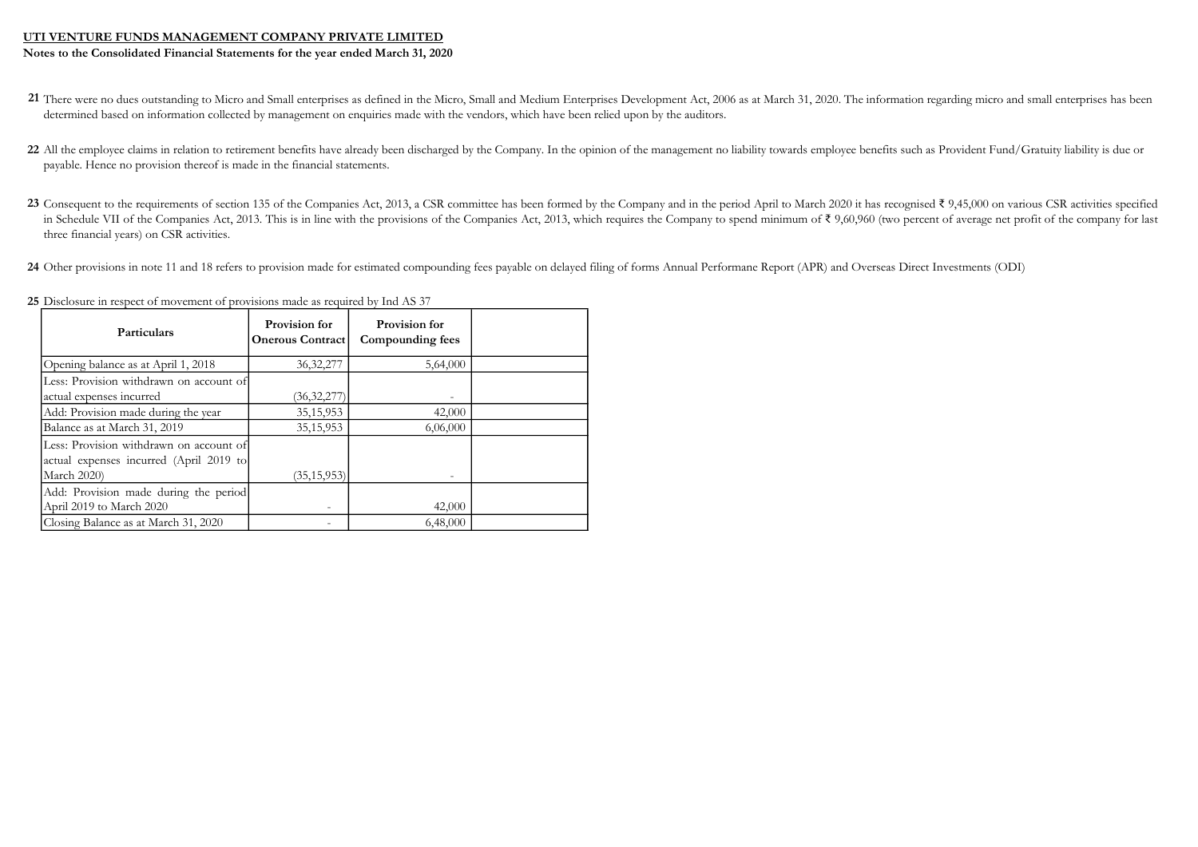Notes to the Consolidated Financial Statements for the year ended March 31, 2020

- 21 There were no dues outstanding to Micro and Small enterprises as defined in the Micro, Small and Medium Enterprises Development Act, 2006 as at March 31, 2020. The information regarding micro and small enterprises has b determined based on information collected by management on enquiries made with the vendors, which have been relied upon by the auditors.
- 22 All the employee claims in relation to retirement benefits have already been discharged by the Company. In the opinion of the management no liability towards employee benefits such as Provident Fund/Gratuity liability i payable. Hence no provision thereof is made in the financial statements.
- 23 Consequent to the requirements of section 135 of the Companies Act, 2013, a CSR committee has been formed by the Company and in the period April to March 2020 it has recognised ₹ 9,45,000 on various CSR activities spec in Schedule VII of the Companies Act, 2013. This is in line with the provisions of the Companies Act, 2013, which requires the Company to spend minimum of ₹ 9,60,960 (two percent of average net profit of the company for l three financial years) on CSR activities.
- 24 Other provisions in note 11 and 18 refers to provision made for estimated compounding fees payable on delayed filing of forms Annual Performane Report (APR) and Overseas Direct Investments (ODI)

| <b>Particulars</b>                                                                                       | Provision for<br><b>Onerous Contract</b> | Provision for<br>Compounding fees |  |
|----------------------------------------------------------------------------------------------------------|------------------------------------------|-----------------------------------|--|
| Opening balance as at April 1, 2018                                                                      | 36, 32, 277                              | 5,64,000                          |  |
| Less: Provision withdrawn on account of<br>actual expenses incurred                                      | (36,32,277)                              |                                   |  |
| Add: Provision made during the year                                                                      | 35, 15, 953                              | 42,000                            |  |
| Balance as at March 31, 2019                                                                             | 35, 15, 953                              | 6,06,000                          |  |
| Less: Provision withdrawn on account of<br>actual expenses incurred (April 2019 to<br><b>March 2020)</b> | (35, 15, 953)                            |                                   |  |
| Add: Provision made during the period<br>April 2019 to March 2020                                        |                                          | 42,000                            |  |
| Closing Balance as at March 31, 2020                                                                     |                                          | 6,48,000                          |  |

25 Disclosure in respect of movement of provisions made as required by Ind AS 37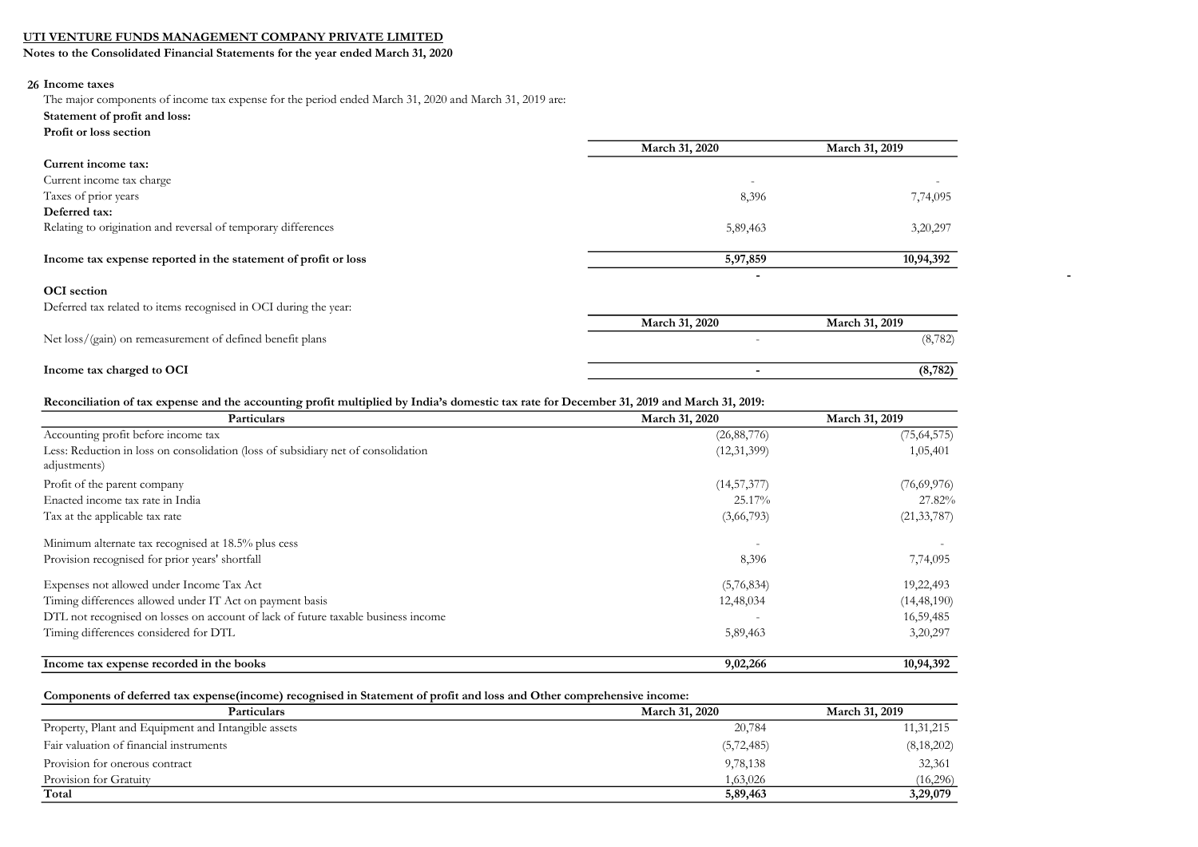Notes to the Consolidated Financial Statements for the year ended March 31, 2020

#### 26 Income taxes

The major components of income tax expense for the period ended March 31, 2020 and March 31, 2019 are:

- Statement of profit and loss:
- Profit or loss section

| 110Ht of 1000 occupit                                            |                          |                          |
|------------------------------------------------------------------|--------------------------|--------------------------|
|                                                                  | March 31, 2020           | March 31, 2019           |
| Current income tax:                                              |                          |                          |
| Current income tax charge                                        | $\overline{\phantom{0}}$ | $\overline{\phantom{m}}$ |
| Taxes of prior years                                             | 8,396                    | 7,74,095                 |
| Deferred tax:                                                    |                          |                          |
| Relating to origination and reversal of temporary differences    | 5,89,463                 | 3,20,297                 |
|                                                                  |                          |                          |
| Income tax expense reported in the statement of profit or loss   | 5,97,859                 | 10,94,392                |
|                                                                  | $\overline{\phantom{0}}$ |                          |
| <b>OCI</b> section                                               |                          |                          |
| Deferred tax related to items recognised in OCI during the year: |                          |                          |
|                                                                  | March 31, 2020           | March 31, 2019           |
| Net loss/(gain) on remeasurement of defined benefit plans        |                          | (8, 782)                 |
|                                                                  |                          |                          |
| Income tax charged to OCI                                        | $\overline{\phantom{0}}$ | (8, 782)                 |

#### Reconciliation of tax expense and the accounting profit multiplied by India's domestic tax rate for December 31, 2019 and March 31, 2019:

| Particulars                                                                       | March 31, 2020 | March 31, 2019 |  |
|-----------------------------------------------------------------------------------|----------------|----------------|--|
| Accounting profit before income tax                                               | (26, 88, 776)  | (75, 64, 575)  |  |
| Less: Reduction in loss on consolidation (loss of subsidiary net of consolidation | (12,31,399)    | 1,05,401       |  |
| adjustments)                                                                      |                |                |  |
| Profit of the parent company                                                      | (14, 57, 377)  | (76,69,976)    |  |
| Enacted income tax rate in India                                                  | 25.17%         | 27.82%         |  |
| Tax at the applicable tax rate                                                    | (3,66,793)     | (21, 33, 787)  |  |
| Minimum alternate tax recognised at 18.5% plus cess                               | ٠              |                |  |
| Provision recognised for prior years' shortfall                                   | 8,396          | 7,74,095       |  |
| Expenses not allowed under Income Tax Act                                         | (5,76,834)     | 19,22,493      |  |
| Timing differences allowed under IT Act on payment basis                          | 12,48,034      | (14, 48, 190)  |  |
| DTL not recognised on losses on account of lack of future taxable business income |                | 16,59,485      |  |
| Timing differences considered for DTL                                             | 5,89,463       | 3,20,297       |  |
| Income tax expense recorded in the books                                          | 9,02,266       | 10,94,392      |  |

#### Components of deferred tax expense(income) recognised in Statement of profit and loss and Other comprehensive income:

| Particulars                                         | <b>March 31, 2020</b> | March 31, 2019 |
|-----------------------------------------------------|-----------------------|----------------|
| Property, Plant and Equipment and Intangible assets | 20,784                | 11,31,215      |
| Fair valuation of financial instruments             | (5, 72, 485)          | (8,18,202)     |
| Provision for onerous contract                      | 9,78,138              | 32,361         |
| Provision for Gratuity                              | 1,63,026              | (16,296)       |
| Total                                               | 5,89,463              | 3,29,079       |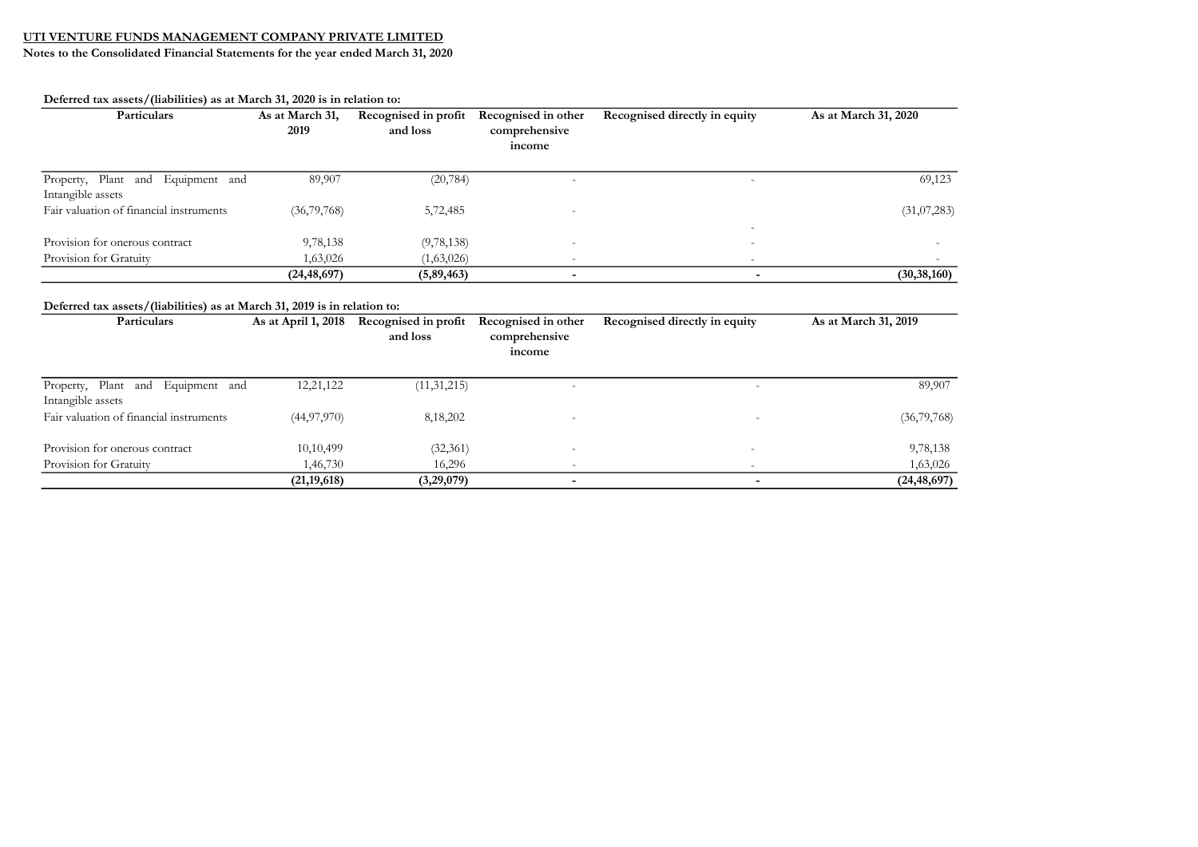Notes to the Consolidated Financial Statements for the year ended March 31, 2020

Deferred tax assets/(liabilities) as at March 31, 2020 is in relation to:

| Particulars                                                                              | As at March 31,<br>2019 | Recognised in profit<br>and loss | Recognised in other<br>comprehensive<br>income | Recognised directly in equity | As at March 31, 2020 |
|------------------------------------------------------------------------------------------|-------------------------|----------------------------------|------------------------------------------------|-------------------------------|----------------------|
| Equipment and<br>Plant<br>and<br>Property,<br>Intangible assets                          | 89,907                  | (20, 784)                        | $\overline{a}$                                 | $\overline{\phantom{a}}$      | 69,123               |
| Fair valuation of financial instruments                                                  | (36,79,768)             | 5,72,485                         |                                                |                               | (31,07,283)          |
| Provision for onerous contract                                                           | 9,78,138                | (9,78,138)                       |                                                |                               |                      |
| Provision for Gratuity                                                                   | 1,63,026                | (1,63,026)                       |                                                |                               |                      |
|                                                                                          | (24, 48, 697)           | (5,89,463)                       | $\blacksquare$                                 | $\blacksquare$                | (30, 38, 160)        |
| Deferred tax assets/(liabilities) as at March 31, 2019 is in relation to:<br>Particulars | As at April 1, 2018     | Recognised in profit<br>and loss | Recognised in other<br>comprehensive<br>income | Recognised directly in equity | As at March 31, 2019 |
| and Equipment and<br>Plant<br>Property,<br>Intangible assets                             | 12,21,122               | (11, 31, 215)                    | ۳                                              |                               | 89,907               |
| Fair valuation of financial instruments                                                  | (44, 97, 970)           | 8,18,202                         |                                                |                               | (36,79,768)          |
| Provision for onerous contract                                                           | 10,10,499               | (32, 361)                        | $\overline{a}$                                 |                               | 9,78,138             |
| Provision for Gratuity                                                                   | 1,46,730                | 16,296                           |                                                |                               | 1,63,026             |
|                                                                                          | (21, 19, 618)           | (3,29,079)                       | $\overline{\phantom{0}}$                       | $\overline{\phantom{a}}$      | (24, 48, 697)        |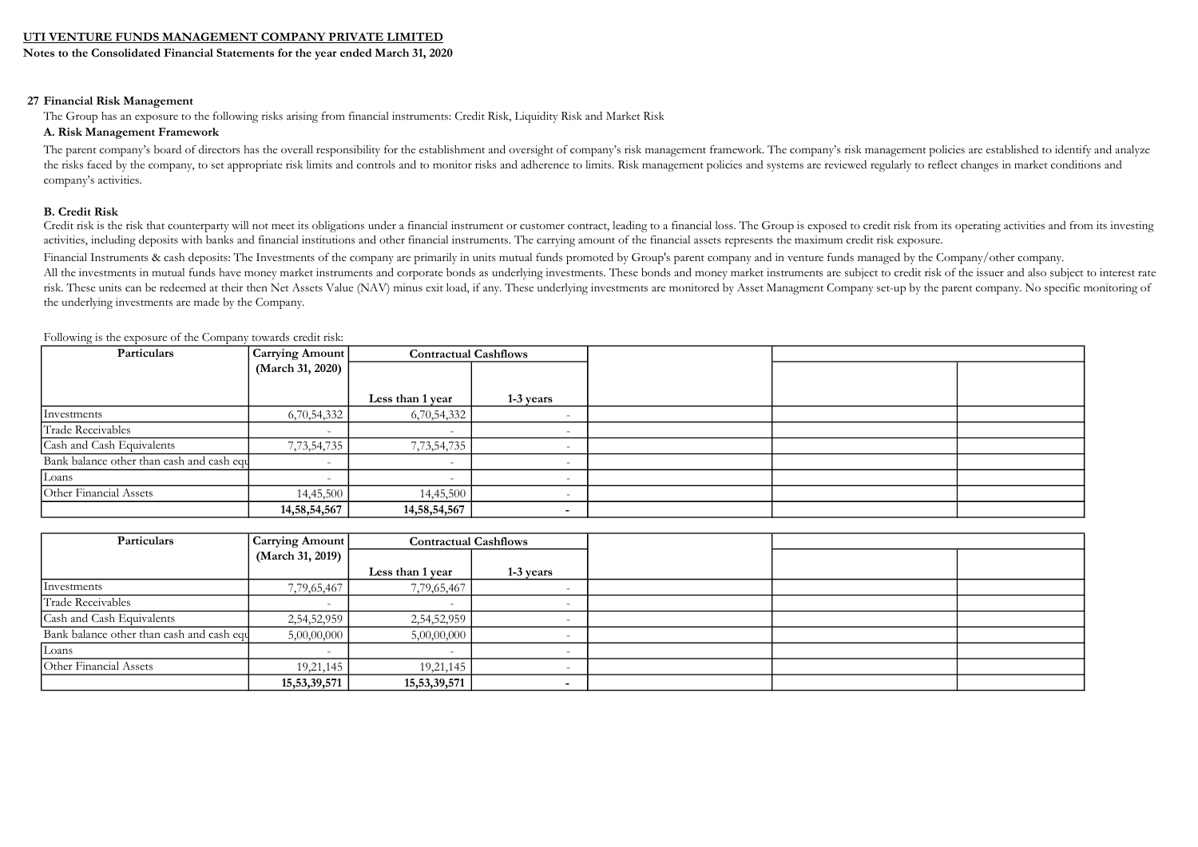Notes to the Consolidated Financial Statements for the year ended March 31, 2020

#### 27 Financial Risk Management

The Group has an exposure to the following risks arising from financial instruments: Credit Risk, Liquidity Risk and Market Risk

#### A. Risk Management Framework

The parent company's board of directors has the overall responsibility for the establishment and oversight of company's risk management framework. The company's risk management policies are established to identify and anal the risks faced by the company, to set appropriate risk limits and controls and to monitor risks and adherence to limits. Risk management policies and systems are reviewed regularly to reflect changes in market conditions company's activities.

#### B. Credit Risk

Credit risk is the risk that counterparty will not meet its obligations under a financial instrument or customer contract, leading to a financial loss. The Group is exposed to credit risk from its operating activities and activities, including deposits with banks and financial institutions and other financial instruments. The carrying amount of the financial assets represents the maximum credit risk exposure.

Financial Instruments & cash deposits: The Investments of the company are primarily in units mutual funds promoted by Group's parent company and in venture funds managed by the Company/other company.

All the investments in mutual funds have money market instruments and corporate bonds as underlying investments. These bonds and money market instruments are subject to credit risk of the issuer and also subject to interes risk. These units can be redeemed at their then Net Assets Value (NAV) minus exit load, if any. These underlying investments are monitored by Asset Managment Company set-up by the parent company. No specific monitoring of the underlying investments are made by the Company.

| Particulars                               | Carrying Amount          | <b>Contractual Cashflows</b> |           |  |  |
|-------------------------------------------|--------------------------|------------------------------|-----------|--|--|
|                                           | (March 31, 2020)         |                              |           |  |  |
|                                           |                          |                              |           |  |  |
|                                           |                          | Less than 1 year             | 1-3 years |  |  |
| Investments                               | 6,70,54,332              | 6,70,54,332                  |           |  |  |
| Trade Receivables                         |                          | $\overline{\phantom{0}}$     |           |  |  |
| Cash and Cash Equivalents                 | 7,73,54,735              | 7,73,54,735                  |           |  |  |
| Bank balance other than cash and cash equ | $\overline{\phantom{a}}$ | $\overline{\phantom{0}}$     |           |  |  |
| Loans                                     |                          |                              |           |  |  |
| Other Financial Assets                    | 14,45,500                | 14,45,500                    |           |  |  |
|                                           | 14,58,54,567             | 14,58,54,567                 |           |  |  |

Following is the exposure of the Company towards credit risk:

| Particulars                               | Carrying Amount  | <b>Contractual Cashflows</b> |                          |  |  |
|-------------------------------------------|------------------|------------------------------|--------------------------|--|--|
|                                           | (March 31, 2019) |                              |                          |  |  |
|                                           |                  | Less than 1 year             | 1-3 years                |  |  |
| Investments                               | 7,79,65,467      | 7,79,65,467                  | $\overline{\phantom{a}}$ |  |  |
| Trade Receivables                         |                  |                              |                          |  |  |
| Cash and Cash Equivalents                 | 2,54,52,959      | 2,54,52,959                  |                          |  |  |
| Bank balance other than cash and cash equ | 5,00,00,000      | 5,00,00,000                  |                          |  |  |
| Loans                                     |                  |                              |                          |  |  |
| Other Financial Assets                    | 19,21,145        | 19,21,145                    |                          |  |  |
|                                           | 15, 53, 39, 571  | 15,53,39,571                 |                          |  |  |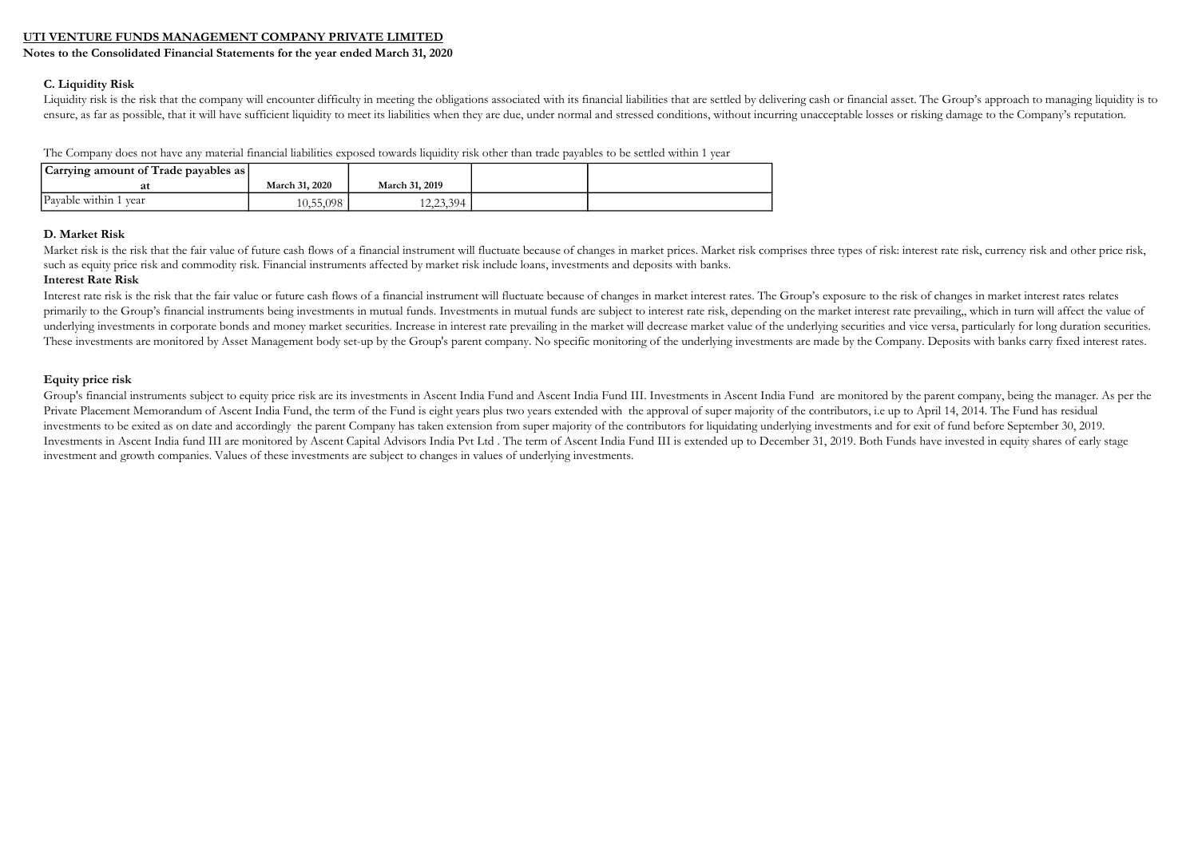Notes to the Consolidated Financial Statements for the year ended March 31, 2020

#### C. Liquidity Risk

Liquidity risk is the risk that the company will encounter difficulty in meeting the obligations associated with its financial liabilities that are settled by delivering cash or financial asset. The Group's approach to man ensure, as far as possible, that it will have sufficient liquidity to meet its liabilities when they are due, under normal and stressed conditions, without incurring unacceptable losses or risking damage to the Company's r

The Company does not have any material financial liabilities exposed towards liquidity risk other than trade payables to be settled within 1 year

| Carrying amount of Trade payables as |                |                |  |
|--------------------------------------|----------------|----------------|--|
| at                                   | March 31, 2020 | March 31, 2019 |  |
| Payable within 1<br>r vear           | 10,55,098      | 12,23,394      |  |

#### D. Market Risk

Market risk is the risk that the fair value of future cash flows of a financial instrument will fluctuate because of changes in market prices. Market risk comprises three types of risk: interest rate risk, currency risk an such as equity price risk and commodity risk. Financial instruments affected by market risk include loans, investments and deposits with banks.

#### Interest Rate Risk

Interest rate risk is the risk that the fair value or future cash flows of a financial instrument will fluctuate because of changes in market interest rates. The Group's exposure to the risk of changes in market interest r primarily to the Group's financial instruments being investments in mutual funds. Investments in mutual funds are subject to interest rate risk, depending on the market interest rate prevailing,, which in turn will affect underlying investments in corporate bonds and money market securities. Increase in interest rate prevailing in the market will decrease market value of the underlying securities and vice versa, particularly for long durati These investments are monitored by Asset Management body set-up by the Group's parent company. No specific monitoring of the underlying investments are made by the Company. Deposits with banks carry fixed interest rates.

#### Equity price risk

Group's financial instruments subject to equity price risk are its investments in Ascent India Fund and Ascent India Fund III. Investments in Ascent India Fund are monitored by the parent company, being the manager. As per Private Placement Memorandum of Ascent India Fund, the term of the Fund is eight years plus two years extended with the approval of super majority of the contributors, i.e up to April 14, 2014. The Fund has residual investments to be exited as on date and accordingly the parent Company has taken extension from super majority of the contributors for liquidating underlying investments and for exit of fund before September 30, 2019. Investments in Ascent India fund III are monitored by Ascent Capital Advisors India Pvt Ltd . The term of Ascent India Fund III is extended up to December 31, 2019. Both Funds have invested in equity shares of early stage investment and growth companies. Values of these investments are subject to changes in values of underlying investments.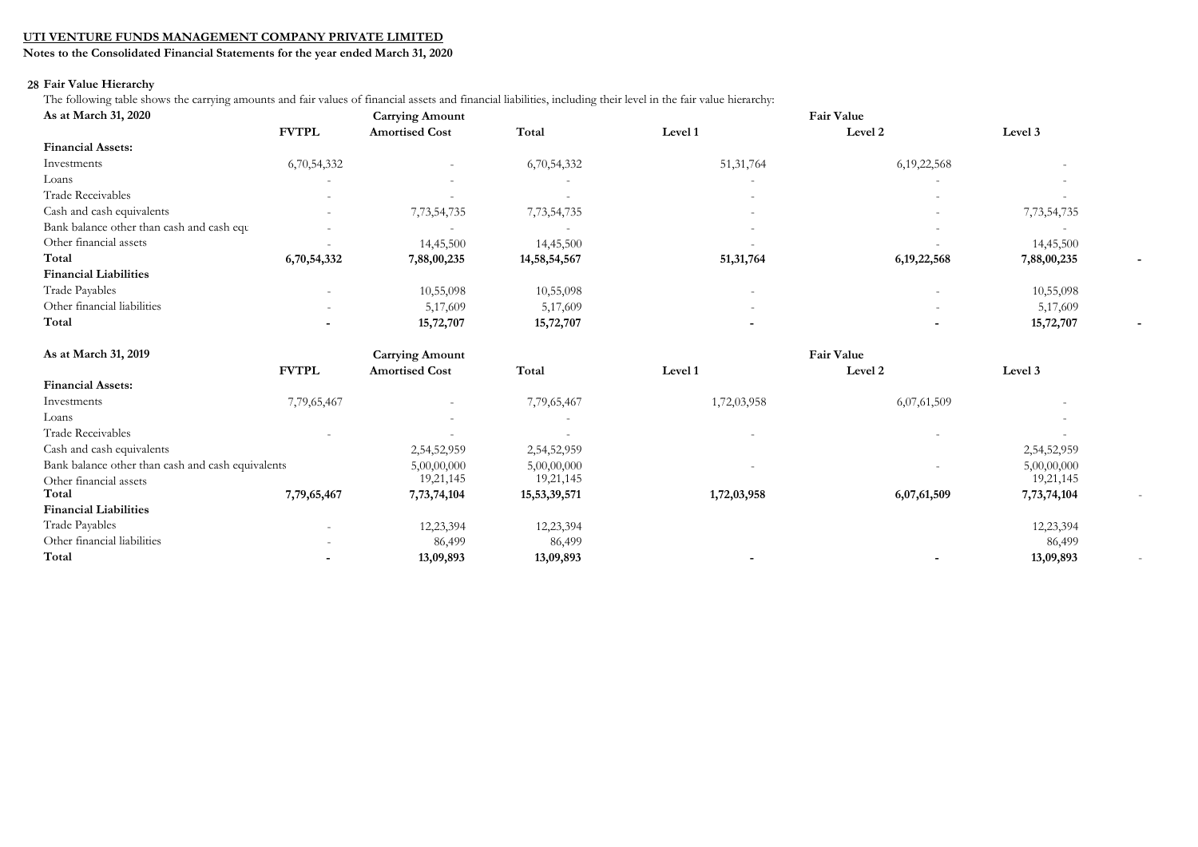Notes to the Consolidated Financial Statements for the year ended March 31, 2020

#### 28 Fair Value Hierarchy

The following table shows the carrying amounts and fair values of financial assets and financial liabilities, including their level in the fair value hierarchy:

| As at March 31, 2020                              | <b>Carrying Amount</b> |                        |              |             |                   |             |  |
|---------------------------------------------------|------------------------|------------------------|--------------|-------------|-------------------|-------------|--|
|                                                   | <b>FVTPL</b>           | <b>Amortised Cost</b>  | Total        | Level 1     | Level 2           | Level 3     |  |
| <b>Financial Assets:</b>                          |                        |                        |              |             |                   |             |  |
| Investments                                       | 6,70,54,332            |                        | 6,70,54,332  | 51, 31, 764 | 6, 19, 22, 568    |             |  |
| Loans                                             |                        |                        |              |             |                   |             |  |
| <b>Trade Receivables</b>                          |                        |                        |              |             |                   |             |  |
| Cash and cash equivalents                         |                        | 7,73,54,735            | 7,73,54,735  |             |                   | 7,73,54,735 |  |
| Bank balance other than cash and cash equ         |                        |                        |              |             |                   |             |  |
| Other financial assets                            |                        | 14,45,500              | 14,45,500    |             |                   | 14,45,500   |  |
| Total                                             | 6,70,54,332            | 7,88,00,235            | 14,58,54,567 | 51,31,764   | 6, 19, 22, 568    | 7,88,00,235 |  |
| <b>Financial Liabilities</b>                      |                        |                        |              |             |                   |             |  |
| Trade Payables                                    |                        | 10,55,098              | 10,55,098    |             |                   | 10,55,098   |  |
| Other financial liabilities                       |                        | 5,17,609               | 5,17,609     |             |                   | 5,17,609    |  |
| Total                                             |                        | 15,72,707              | 15,72,707    |             |                   | 15,72,707   |  |
| As at March 31, 2019                              |                        | <b>Carrying Amount</b> |              |             | <b>Fair Value</b> |             |  |
|                                                   | <b>FVTPL</b>           | <b>Amortised Cost</b>  | Total        | Level 1     | Level 2           | Level 3     |  |
| <b>Financial Assets:</b>                          |                        |                        |              |             |                   |             |  |
| Investments                                       | 7,79,65,467            |                        | 7,79,65,467  | 1,72,03,958 | 6,07,61,509       |             |  |
| Loans                                             |                        |                        |              |             |                   |             |  |
| <b>Trade Receivables</b>                          |                        |                        |              |             |                   |             |  |
| Cash and cash equivalents                         |                        | 2,54,52,959            | 2,54,52,959  |             |                   | 2,54,52,959 |  |
| Bank balance other than cash and cash equivalents |                        | 5,00,00,000            | 5,00,00,000  |             |                   | 5,00,00,000 |  |
| Other financial assets                            |                        | 19,21,145              | 19,21,145    |             |                   | 19,21,145   |  |
| Total                                             | 7,79,65,467            | 7,73,74,104            | 15,53,39,571 | 1,72,03,958 | 6,07,61,509       | 7,73,74,104 |  |
| <b>Financial Liabilities</b>                      |                        |                        |              |             |                   |             |  |
| Trade Payables                                    |                        | 12,23,394              | 12,23,394    |             |                   | 12,23,394   |  |
| Other financial liabilities                       |                        | 86,499                 | 86,499       |             |                   | 86,499      |  |
| Total                                             |                        | 13,09,893              | 13,09,893    |             |                   | 13,09,893   |  |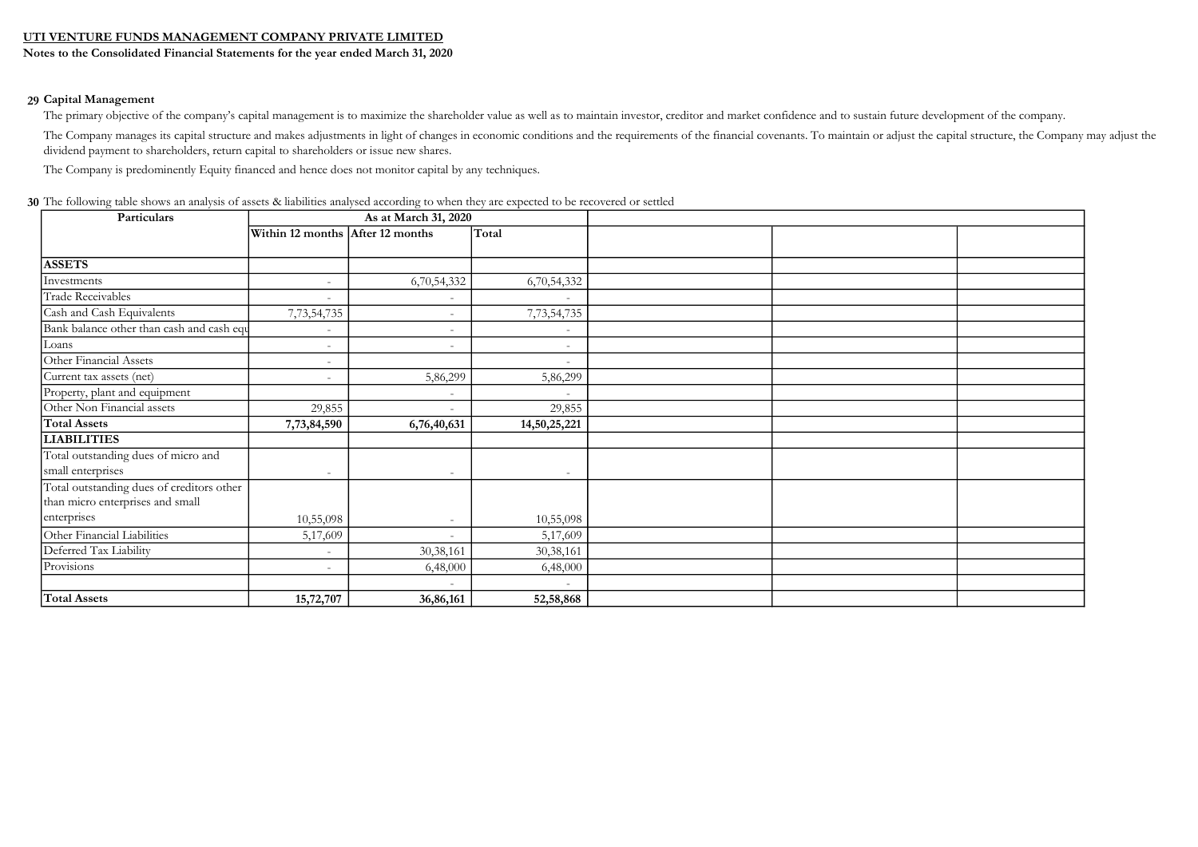Notes to the Consolidated Financial Statements for the year ended March 31, 2020

#### 29 Capital Management

The primary objective of the company's capital management is to maximize the shareholder value as well as to maintain investor, creditor and market confidence and to sustain future development of the company.

The Company manages its capital structure and makes adjustments in light of changes in economic conditions and the requirements of the financial covenants. To maintain or adjust the capital structure, the Company may adjus dividend payment to shareholders, return capital to shareholders or issue new shares.

The Company is predominently Equity financed and hence does not monitor capital by any techniques.

| 30 The following table shows an analysis of assets & liabilities analysed according to when they are expected to be recovered or settled |  |
|------------------------------------------------------------------------------------------------------------------------------------------|--|
|------------------------------------------------------------------------------------------------------------------------------------------|--|

| Particulars                               | As at March 31, 2020             |                          |                          |  |
|-------------------------------------------|----------------------------------|--------------------------|--------------------------|--|
|                                           | Within 12 months After 12 months |                          | Total                    |  |
|                                           |                                  |                          |                          |  |
| <b>ASSETS</b>                             |                                  |                          |                          |  |
| Investments                               |                                  | 6,70,54,332              | 6,70,54,332              |  |
| Trade Receivables                         | $\overline{a}$                   |                          |                          |  |
| Cash and Cash Equivalents                 | 7,73,54,735                      |                          | 7,73,54,735              |  |
| Bank balance other than cash and cash equ |                                  | $\overline{\phantom{a}}$ |                          |  |
| Loans                                     | $\overline{\phantom{a}}$         | $\overline{\phantom{a}}$ | $\overline{\phantom{a}}$ |  |
| Other Financial Assets                    | $\overline{\phantom{a}}$         |                          |                          |  |
| Current tax assets (net)                  | $\overline{\phantom{a}}$         | 5,86,299                 | 5,86,299                 |  |
| Property, plant and equipment             |                                  |                          |                          |  |
| Other Non Financial assets                | 29,855                           | $\sim$                   | 29,855                   |  |
| <b>Total Assets</b>                       | 7,73,84,590                      | 6,76,40,631              | 14,50,25,221             |  |
| <b>LIABILITIES</b>                        |                                  |                          |                          |  |
| Total outstanding dues of micro and       |                                  |                          |                          |  |
| small enterprises                         | $\overline{\phantom{a}}$         | $\overline{a}$           | $\overline{\phantom{a}}$ |  |
| Total outstanding dues of creditors other |                                  |                          |                          |  |
| than micro enterprises and small          |                                  |                          |                          |  |
| enterprises                               | 10,55,098                        |                          | 10,55,098                |  |
| Other Financial Liabilities               | 5,17,609                         |                          | 5,17,609                 |  |
| Deferred Tax Liability                    |                                  | 30,38,161                | 30,38,161                |  |
| Provisions                                | $\overline{\phantom{a}}$         | 6,48,000                 | 6,48,000                 |  |
|                                           |                                  | $\sim$                   |                          |  |
| <b>Total Assets</b>                       | 15,72,707                        | 36,86,161                | 52,58,868                |  |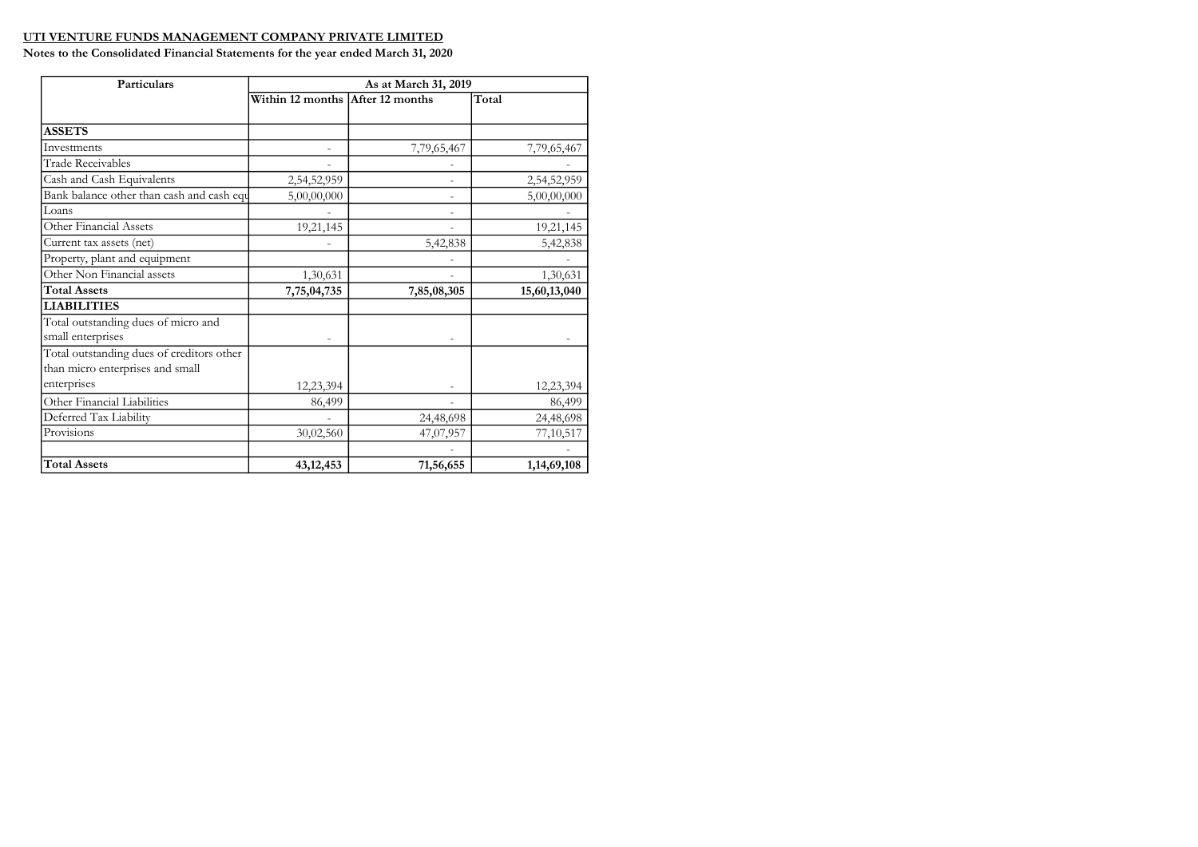| Particulars                               | As at March 31, 2019             |             |              |  |  |  |  |
|-------------------------------------------|----------------------------------|-------------|--------------|--|--|--|--|
|                                           | Within 12 months After 12 months |             | Total        |  |  |  |  |
|                                           |                                  |             |              |  |  |  |  |
| <b>ASSETS</b>                             |                                  |             |              |  |  |  |  |
| Investments                               |                                  | 7,79,65,467 | 7,79,65,467  |  |  |  |  |
| <b>Trade Receivables</b>                  |                                  |             |              |  |  |  |  |
| Cash and Cash Equivalents                 | 2,54,52,959                      |             | 2,54,52,959  |  |  |  |  |
| Bank balance other than cash and cash equ | 5,00,00,000                      |             | 5,00,00,000  |  |  |  |  |
| Loans                                     |                                  |             |              |  |  |  |  |
| Other Financial Assets                    | 19,21,145                        |             | 19,21,145    |  |  |  |  |
| Current tax assets (net)                  |                                  | 5,42,838    | 5,42,838     |  |  |  |  |
| Property, plant and equipment             |                                  |             |              |  |  |  |  |
| Other Non Financial assets                | 1,30,631                         |             | 1,30,631     |  |  |  |  |
| <b>Total Assets</b>                       | 7,75,04,735                      | 7,85,08,305 | 15,60,13,040 |  |  |  |  |
| <b>LIABILITIES</b>                        |                                  |             |              |  |  |  |  |
| Total outstanding dues of micro and       |                                  |             |              |  |  |  |  |
| small enterprises                         |                                  |             |              |  |  |  |  |
| Total outstanding dues of creditors other |                                  |             |              |  |  |  |  |
| than micro enterprises and small          |                                  |             |              |  |  |  |  |
| enterprises                               | 12,23,394                        |             | 12,23,394    |  |  |  |  |
| Other Financial Liabilities               | 86,499                           |             | 86,499       |  |  |  |  |
| Deferred Tax Liability                    |                                  | 24,48,698   | 24,48,698    |  |  |  |  |
| Provisions                                | 30,02,560                        | 47,07,957   | 77,10,517    |  |  |  |  |
|                                           |                                  |             |              |  |  |  |  |
| <b>Total Assets</b>                       | 43, 12, 453                      | 71,56,655   | 1,14,69,108  |  |  |  |  |